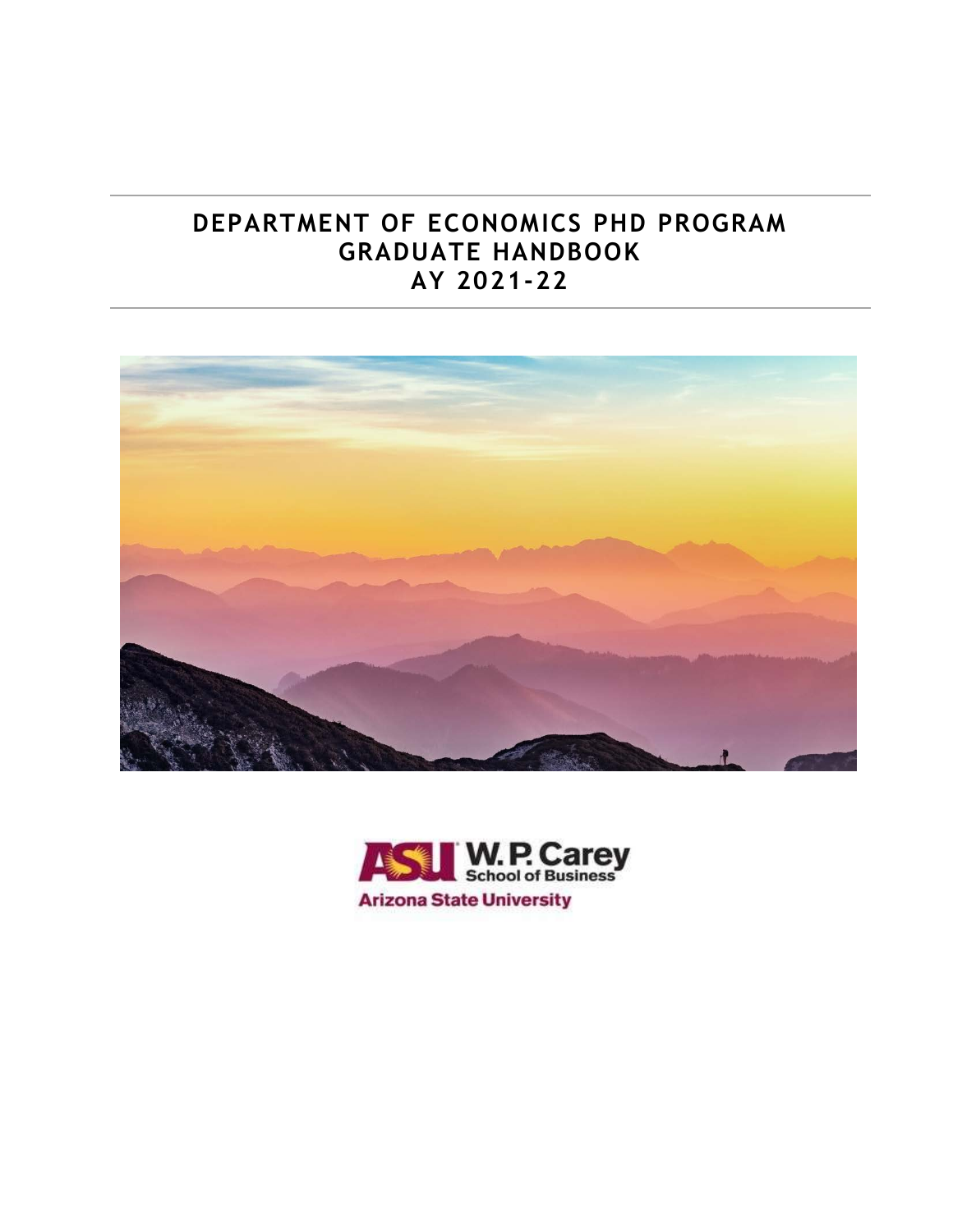## **DEPARTMENT OF ECONOMICS PHD PROGRAM GRADUATE HANDBOOK AY 2021-22**



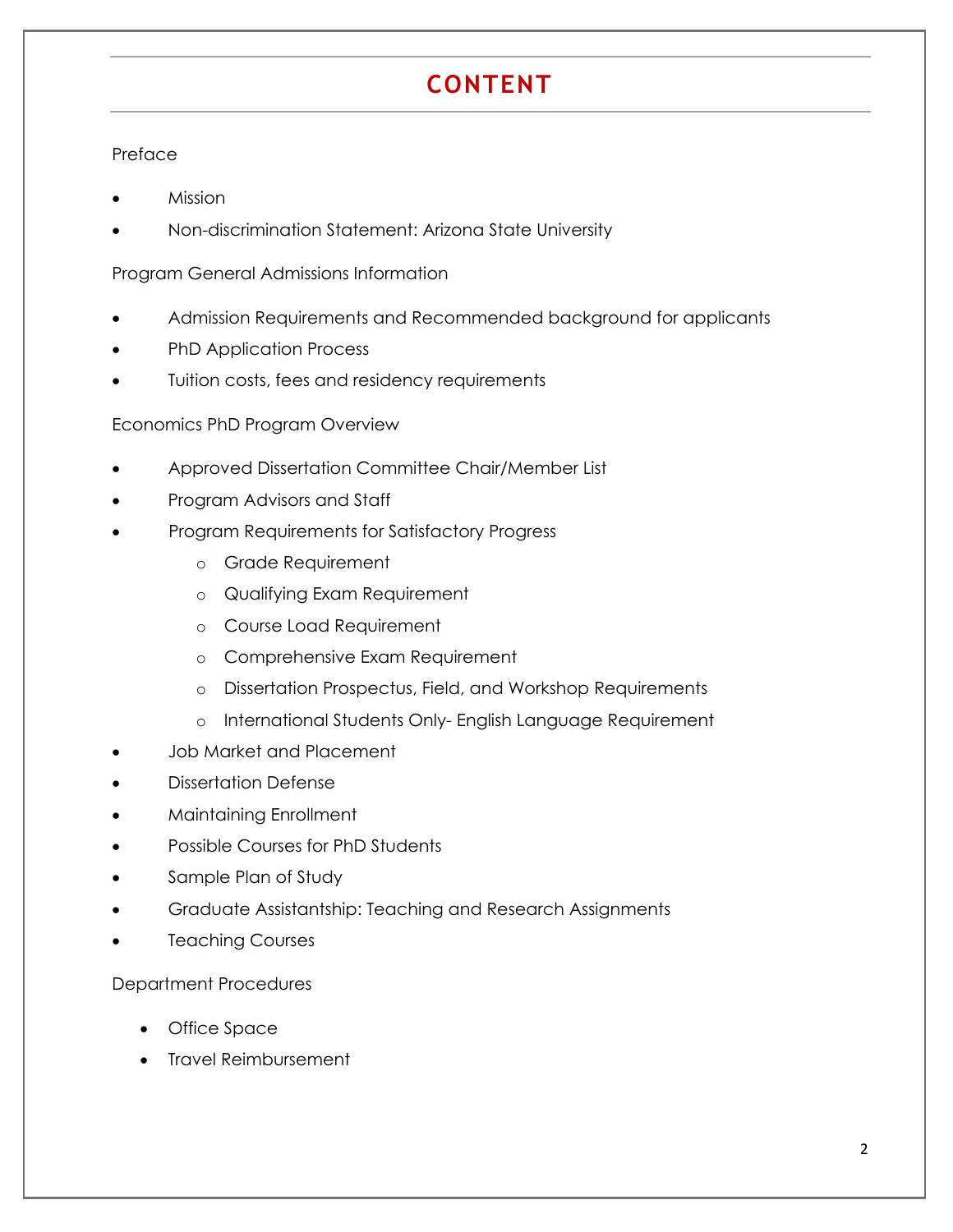# **CONTENT**

#### Preface

- Mission
- Non-discrimination Statement: Arizona State University

Program General Admissions Information

- Admission Requirements and Recommended background for applicants
- PhD Application Process
- Tuition costs, fees and residency requirements

#### Economics PhD Program Overview

- Approved Dissertation Committee Chair/Member List
- Program Advisors and Staff
- Program Requirements for Satisfactory Progress
	- o Grade Requirement
	- o Qualifying Exam Requirement
	- o Course Load Requirement
	- o Comprehensive Exam Requirement
	- o Dissertation Prospectus, Field, and Workshop Requirements
	- o International Students Only- English Language Requirement
- Job Market and Placement
- Dissertation Defense
- Maintaining Enrollment
- Possible Courses for PhD Students
- Sample Plan of Study
- Graduate Assistantship: Teaching and Research Assignments
- Teaching Courses

#### Department Procedures

- Office Space
- Travel Reimbursement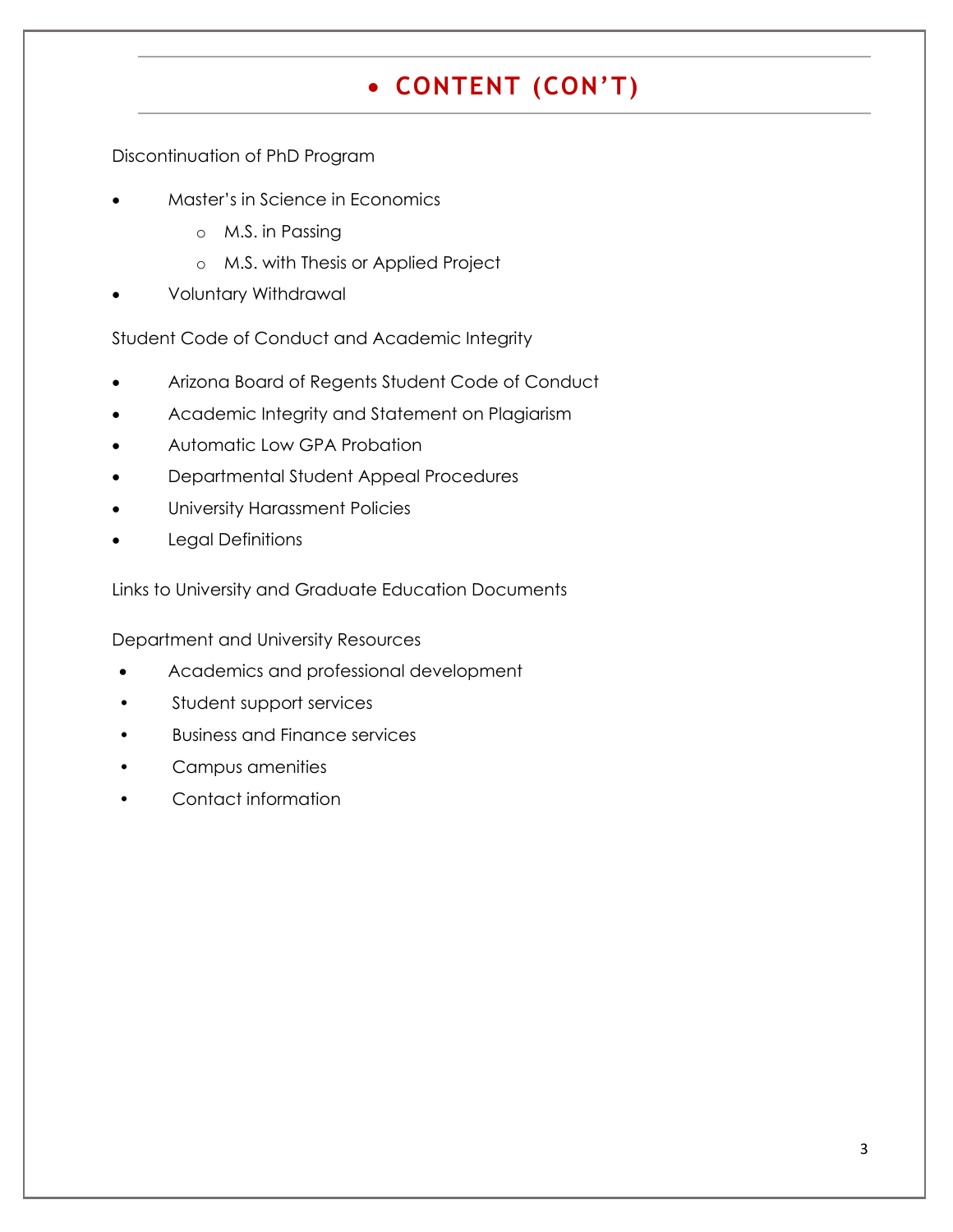# **CONTENT (CON'T)**

Discontinuation of PhD Program

- Master's in Science in Economics
	- o M.S. in Passing
	- o M.S. with Thesis or Applied Project
- Voluntary Withdrawal

Student Code of Conduct and Academic Integrity

- Arizona Board of Regents Student Code of Conduct
- Academic Integrity and Statement on Plagiarism
- Automatic Low GPA Probation
- Departmental Student Appeal Procedures
- University Harassment Policies
- Legal Definitions

Links to University and Graduate Education Documents

Department and University Resources

- Academics and professional development
- Student support services
- Business and Finance services
- Campus amenities
- Contact information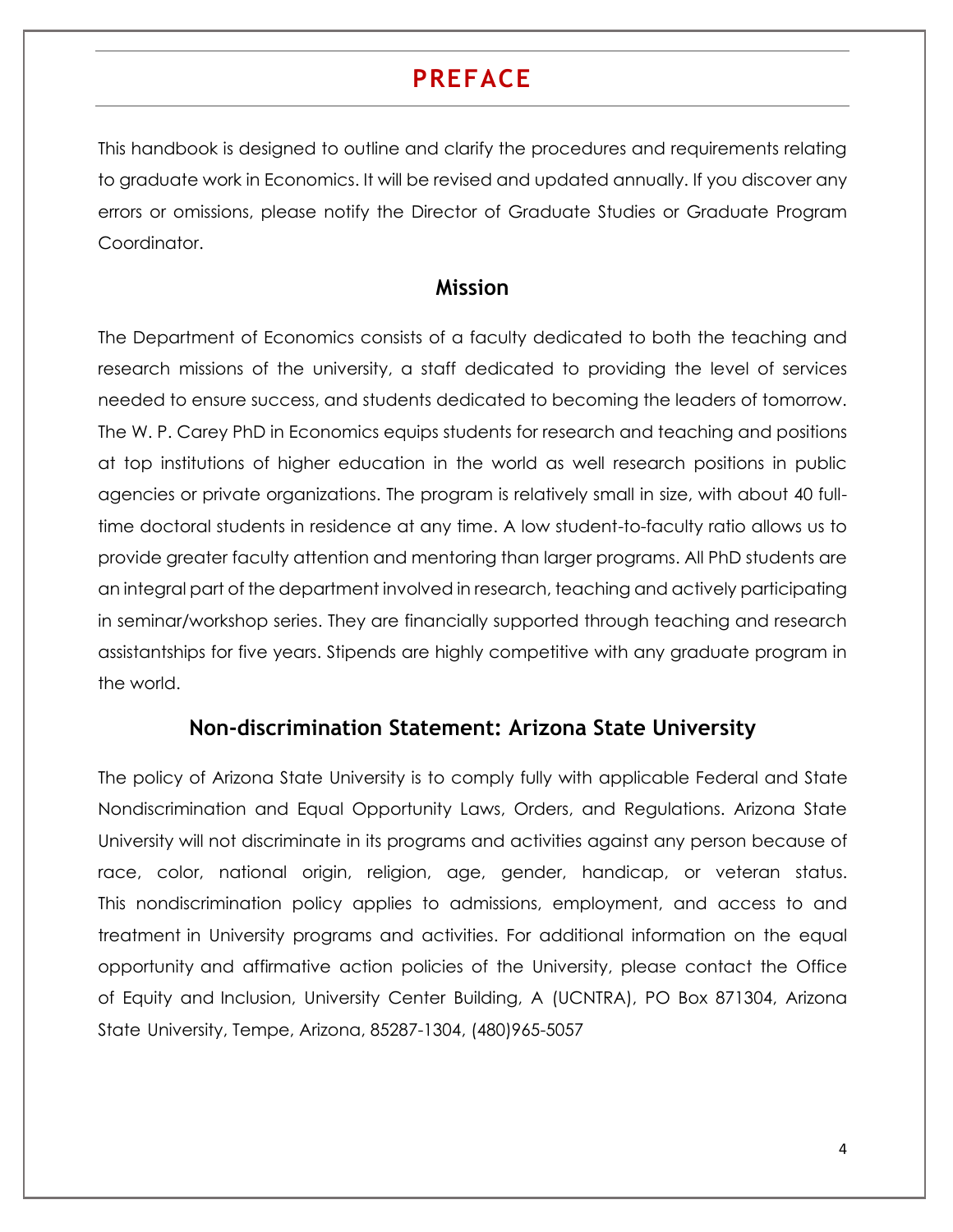## **PREFACE**

This handbook is designed to outline and clarify the procedures and requirements relating to graduate work in Economics. It will be revised and updated annually. If you discover any errors or omissions, please notify the Director of Graduate Studies or Graduate Program Coordinator.

#### **Mission**

The Department of Economics consists of a faculty dedicated to both the teaching and research missions of the university, a staff dedicated to providing the level of services needed to ensure success, and students dedicated to becoming the leaders of tomorrow. The W. P. Carey PhD in Economics equips students for research and teaching and positions at top institutions of higher education in the world as well research positions in public agencies or private organizations. The program is relatively small in size, with about 40 fulltime doctoral students in residence at any time. A low student-to-faculty ratio allows us to provide greater faculty attention and mentoring than larger programs. All PhD students are an integral part of the department involved in research, teaching and actively participating in seminar/workshop series. They are financially supported through teaching and research assistantships for five years. Stipends are highly competitive with any graduate program in the world.

#### **Non-discrimination Statement: Arizona State University**

The policy of Arizona State University is to comply fully with applicable Federal and State Nondiscrimination and Equal Opportunity Laws, Orders, and Regulations. Arizona State University will not discriminate in its programs and activities against any person because of race, color, national origin, religion, age, gender, handicap, or veteran status. This nondiscrimination policy applies to admissions, employment, and access to and treatment in University programs and activities. For additional information on the equal opportunity and affirmative action policies of the University, please contact the Office of Equity and Inclusion, University Center Building, A (UCNTRA), PO Box 871304, Arizona State University, Tempe, Arizona, 85287-1304, (480)965-5057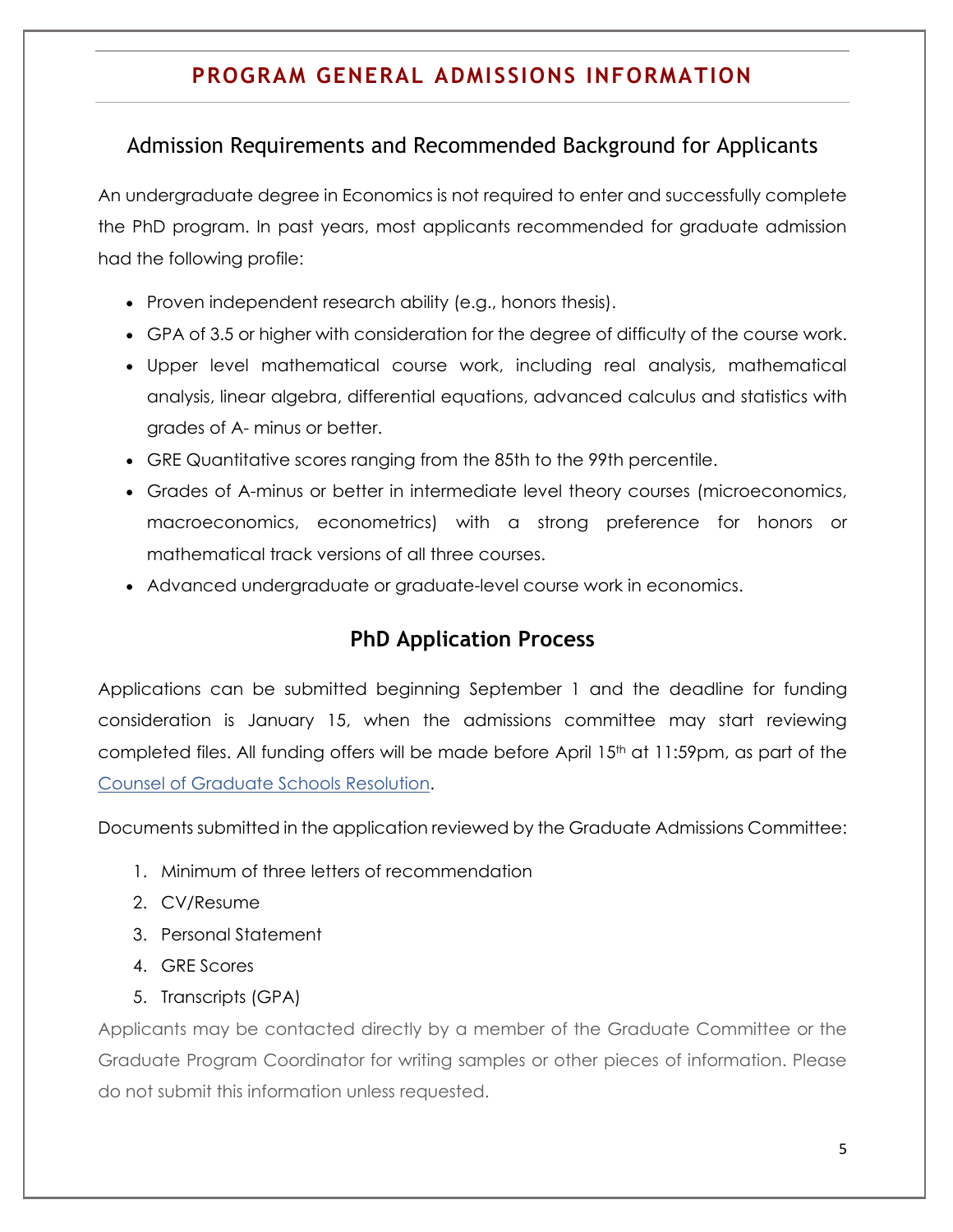## **PROGRAM GENERAL ADMISSIONS INFORMATION**

#### Admission Requirements and Recommended Background for Applicants

An undergraduate degree in Economics is not required to enter and successfully complete the PhD program. In past years, most applicants recommended for graduate admission had the following profile:

- Proven independent research ability (e.g., honors thesis).
- GPA of 3.5 or higher with consideration for the degree of difficulty of the course work.
- Upper level mathematical course work, including real analysis, mathematical analysis, linear algebra, differential equations, advanced calculus and statistics with grades of A- minus or better.
- GRE Quantitative scores ranging from the 85th to the 99th percentile.
- Grades of A-minus or better in intermediate level theory courses (microeconomics, macroeconomics, econometrics) with a strong preference for honors or mathematical track versions of all three courses.
- Advanced undergraduate or graduate-level course work in economics.

#### **PhD Application Process**

Applications can be submitted beginning September 1 and the deadline for funding consideration is January 15, when the admissions committee may start reviewing completed files. All funding offers will be made before April 15<sup>th</sup> at 11:59pm, as part of the [Counsel of Graduate Schools Resolution.](http://cgsnet.org/april-15-resolution)

Documents submitted in the application reviewed by the Graduate Admissions Committee:

- 1. Minimum of three letters of recommendation
- 2. CV/Resume
- 3. Personal Statement
- 4. GRE Scores
- 5. Transcripts (GPA)

Applicants may be contacted directly by a member of the Graduate Committee or the Graduate Program Coordinator for writing samples or other pieces of information. Please do not submit this information unless requested.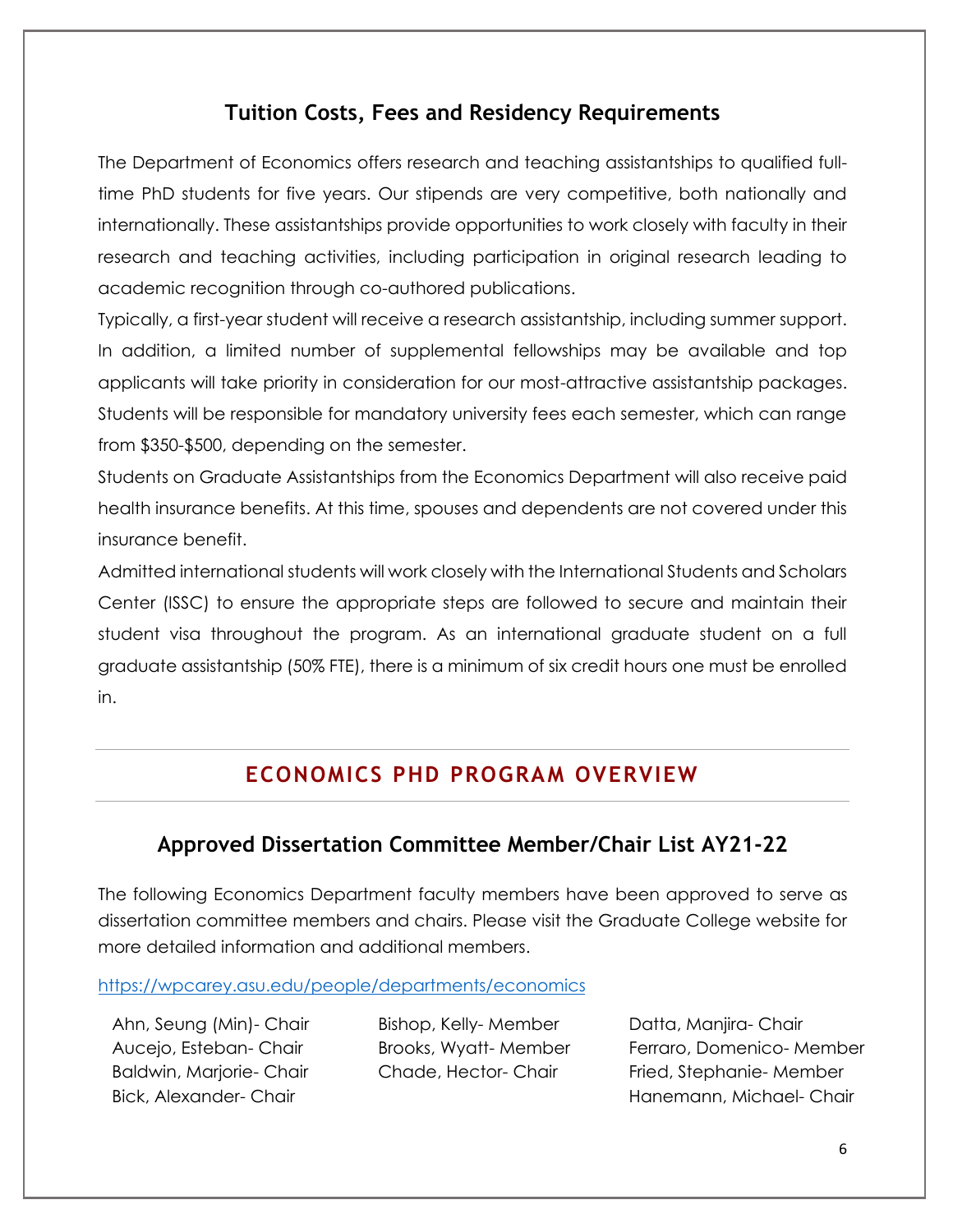## **Tuition Costs, Fees and Residency Requirements**

The Department of Economics offers research and teaching assistantships to qualified fulltime PhD students for five years. Our stipends are very competitive, both nationally and internationally. These assistantships provide opportunities to work closely with faculty in their research and teaching activities, including participation in original research leading to academic recognition through co-authored publications.

Typically, a first-year student will receive a research assistantship, including summer support. In addition, a limited number of supplemental fellowships may be available and top applicants will take priority in consideration for our most-attractive assistantship packages. Students will be responsible for mandatory university fees each semester, which can range from \$350-\$500, depending on the semester.

Students on Graduate Assistantships from the Economics Department will also receive paid health insurance benefits. At this time, spouses and dependents are not covered under this insurance benefit.

Admitted international students will work closely with the International Students and Scholars Center (ISSC) to ensure the appropriate steps are followed to secure and maintain their student visa throughout the program. As an international graduate student on a full graduate assistantship (50% FTE), there is a minimum of six credit hours one must be enrolled in.

## **ECONOMICS PHD PROGRAM OVERVIEW**

## **Approved Dissertation Committee Member/Chair List AY21-22**

The following Economics Department faculty members have been approved to serve as dissertation committee members and chairs. Please visit the Graduate College website for more detailed information and additional members.

<https://wpcarey.asu.edu/people/departments/economics>

Ahn, Seung (Min)- Chair Aucejo, Esteban- Chair Baldwin, Marjorie- Chair Bick, Alexander- Chair

Bishop, Kelly- Member Brooks, Wyatt- Member Chade, Hector- Chair

Datta, Manjira- Chair Ferraro, Domenico- Member Fried, Stephanie- Member Hanemann, Michael- Chair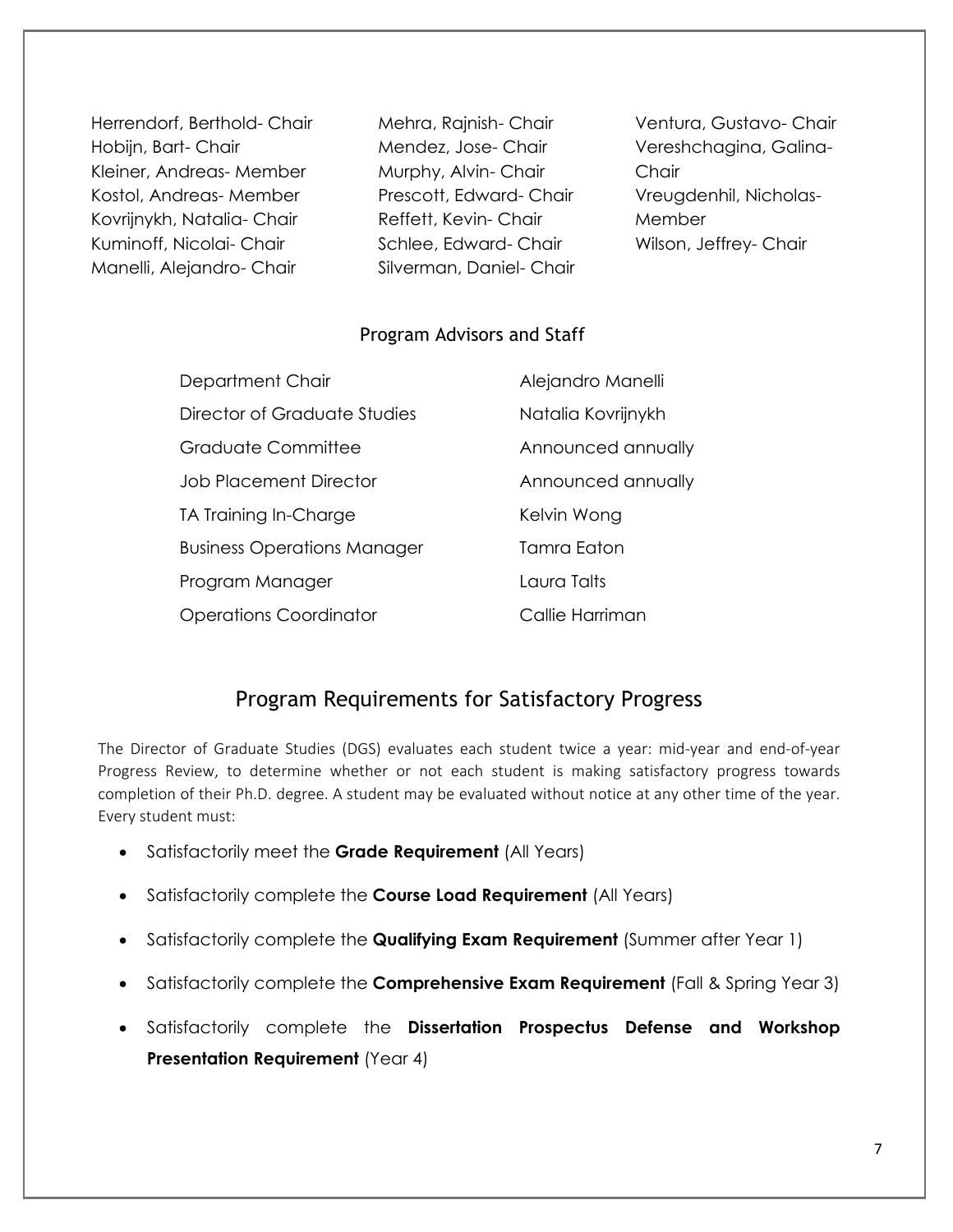Herrendorf, Berthold- Chair Hobijn, Bart- Chair Kleiner, Andreas- Member Kostol, Andreas- Member Kovrijnykh, Natalia- Chair Kuminoff, Nicolai- Chair Manelli, Alejandro- Chair

Mehra, Rajnish- Chair Mendez, Jose- Chair Murphy, Alvin- Chair Prescott, Edward- Chair Reffett, Kevin- Chair Schlee, Edward- Chair Silverman, Daniel- Chair

Ventura, Gustavo- Chair Vereshchagina, Galina-**Chair** Vreugdenhil, Nicholas-Member Wilson, Jeffrey- Chair

#### Program Advisors and Staff

| Department Chair                   | Alejandro Manelli  |
|------------------------------------|--------------------|
| Director of Graduate Studies       | Natalia Kovrijnykh |
| Graduate Committee                 | Announced annually |
| <b>Job Placement Director</b>      | Announced annually |
| TA Training In-Charge              | Kelvin Wong        |
| <b>Business Operations Manager</b> | Tamra Eaton        |
| Program Manager                    | Laura Talts        |
| <b>Operations Coordinator</b>      | Callie Harriman    |

## Program Requirements for Satisfactory Progress

The Director of Graduate Studies (DGS) evaluates each student twice a year: mid-year and end-of-year Progress Review, to determine whether or not each student is making satisfactory progress towards completion of their Ph.D. degree. A student may be evaluated without notice at any other time of the year. Every student must:

- Satisfactorily meet the **Grade Requirement** (All Years)
- Satisfactorily complete the **Course Load Requirement** (All Years)
- Satisfactorily complete the **Qualifying Exam Requirement** (Summer after Year 1)
- Satisfactorily complete the **Comprehensive Exam Requirement** (Fall & Spring Year 3)
- Satisfactorily complete the **Dissertation Prospectus Defense and Workshop Presentation Requirement** (Year 4)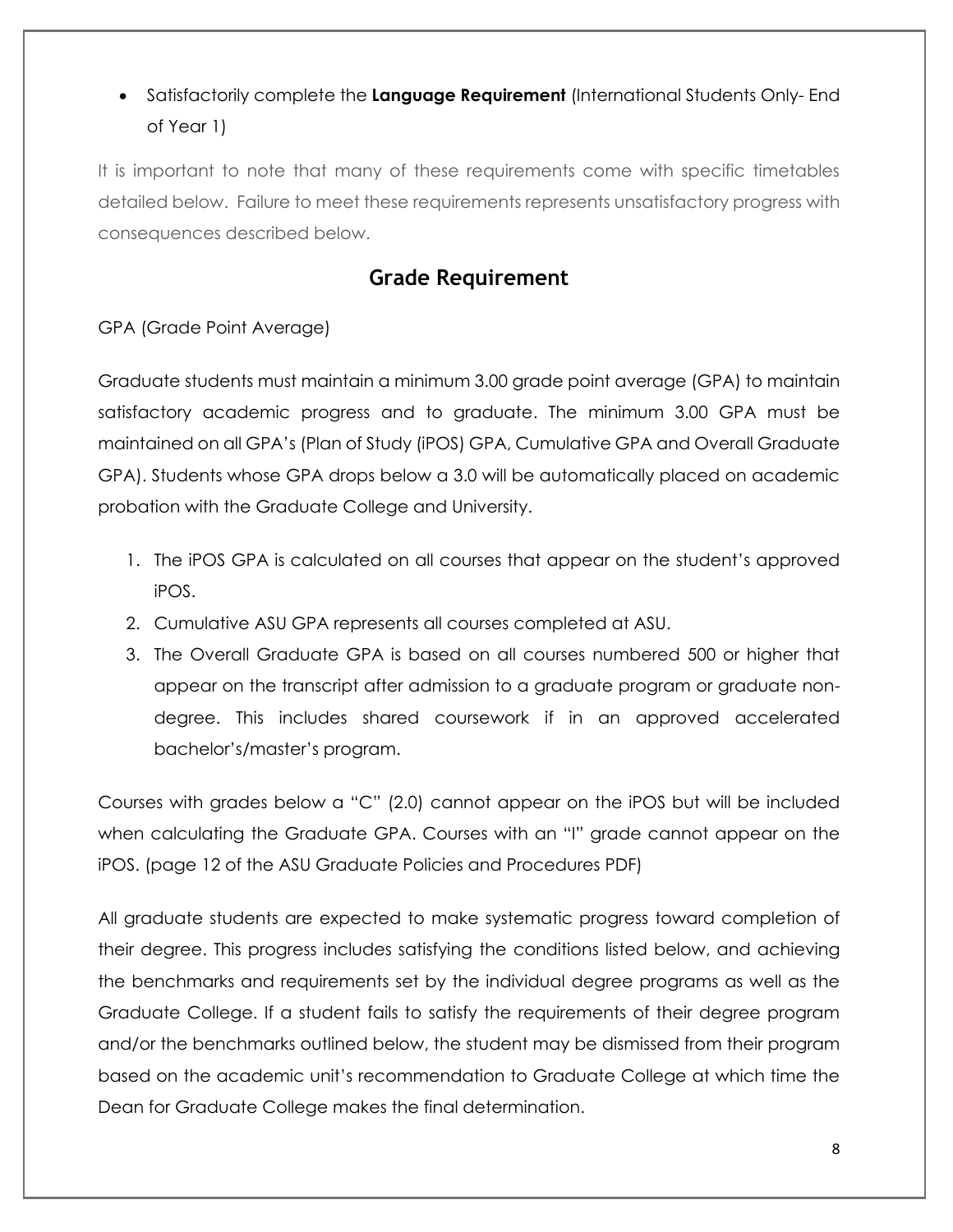## Satisfactorily complete the **Language Requirement** (International Students Only- End of Year 1)

It is important to note that many of these requirements come with specific timetables detailed below. Failure to meet these requirements represents unsatisfactory progress with consequences described below.

## **Grade Requirement**

GPA (Grade Point Average)

Graduate students must maintain a minimum 3.00 grade point average (GPA) to maintain satisfactory academic progress and to graduate. The minimum 3.00 GPA must be maintained on all GPA's (Plan of Study (iPOS) GPA, Cumulative GPA and Overall Graduate GPA). Students whose GPA drops below a 3.0 will be automatically placed on academic probation with the Graduate College and University.

- 1. The iPOS GPA is calculated on all courses that appear on the student's approved iPOS.
- 2. Cumulative ASU GPA represents all courses completed at ASU.
- 3. The Overall Graduate GPA is based on all courses numbered 500 or higher that appear on the transcript after admission to a graduate program or graduate nondegree. This includes shared coursework if in an approved accelerated bachelor's/master's program.

Courses with grades below a "C" (2.0) cannot appear on the iPOS but will be included when calculating the Graduate GPA. Courses with an "I" grade cannot appear on the iPOS. (page 12 of the ASU Graduate Policies and Procedures PDF)

All graduate students are expected to make systematic progress toward completion of their degree. This progress includes satisfying the conditions listed below, and achieving the benchmarks and requirements set by the individual degree programs as well as the Graduate College. If a student fails to satisfy the requirements of their degree program and/or the benchmarks outlined below, the student may be dismissed from their program based on the academic unit's recommendation to Graduate College at which time the Dean for Graduate College makes the final determination.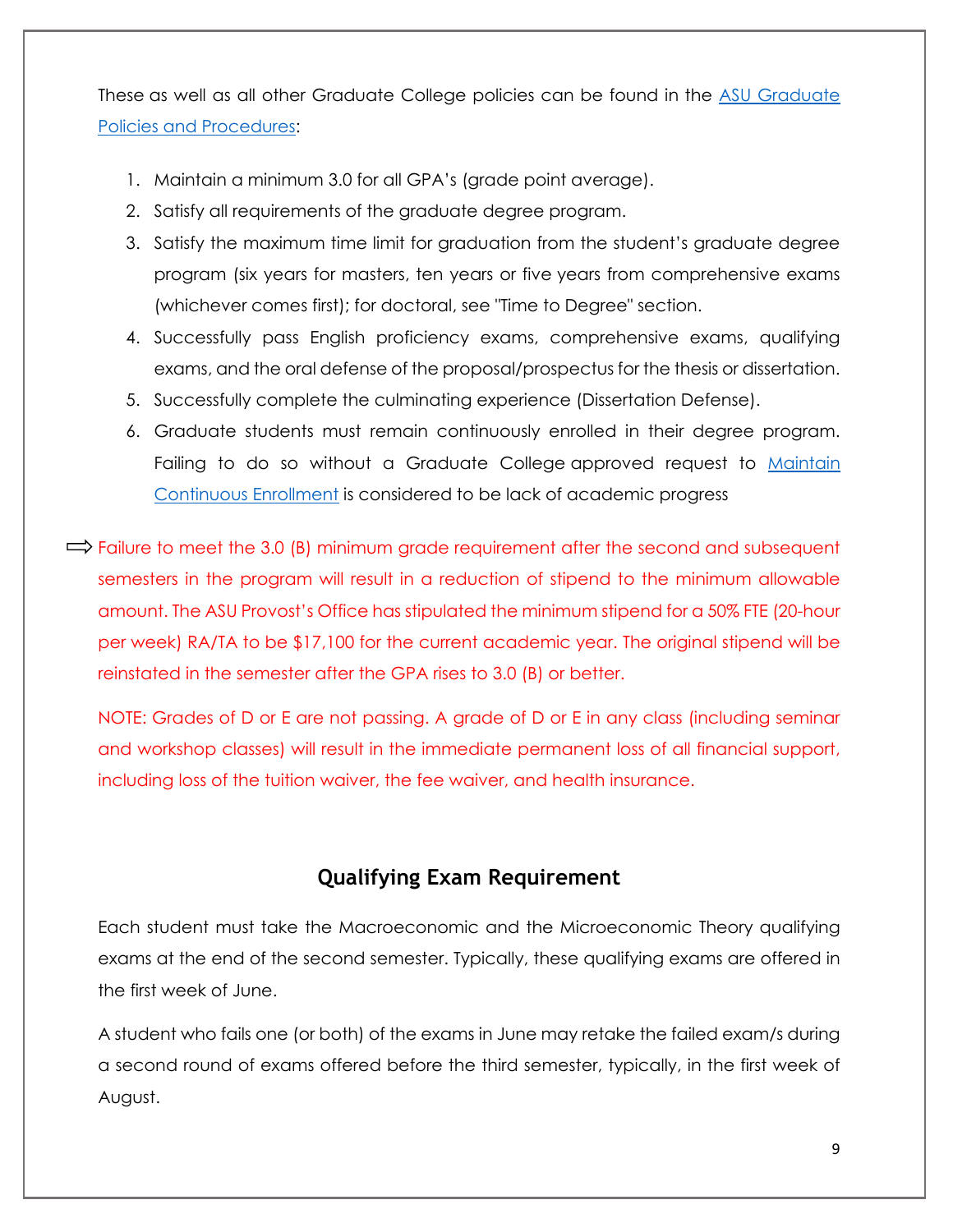These as well as all other Graduate College policies can be found in the [ASU Graduate](https://graduate.asu.edu/policies-procedures)  [Policies and Procedures:](https://graduate.asu.edu/policies-procedures)

- 1. Maintain a minimum 3.0 for all GPA's (grade point average).
- 2. Satisfy all requirements of the graduate degree program.
- 3. Satisfy the maximum time limit for graduation from the student's graduate degree program (six years for masters, ten years or five years from comprehensive exams (whichever comes first); for doctoral, see "Time to Degree" section.
- 4. Successfully pass English proficiency exams, comprehensive exams, qualifying exams, and the oral defense of the proposal/prospectus for the thesis or dissertation.
- 5. Successfully complete the culminating experience (Dissertation Defense).
- 6. Graduate students must remain continuously enrolled in their degree program. Failing to do so without a Graduate College approved request to [Maintain](https://graduate.asu.edu/sites/default/files/maintain-continuous-enrollment-masters-certificate.pdf) [Continuous Enrollment](https://graduate.asu.edu/sites/default/files/maintain-continuous-enrollment-masters-certificate.pdf) is considered to be lack of academic progress
- $\Rightarrow$  Failure to meet the 3.0 (B) minimum grade requirement after the second and subsequent semesters in the program will result in a reduction of stipend to the minimum allowable amount. The ASU Provost's Office has stipulated the minimum stipend for a 50% FTE (20-hour per week) RA/TA to be \$17,100 for the current academic year. The original stipend will be reinstated in the semester after the GPA rises to 3.0 (B) or better.

NOTE: Grades of D or E are not passing. A grade of D or E in any class (including seminar and workshop classes) will result in the immediate permanent loss of all financial support, including loss of the tuition waiver, the fee waiver, and health insurance.

## **Qualifying Exam Requirement**

Each student must take the Macroeconomic and the Microeconomic Theory qualifying exams at the end of the second semester. Typically, these qualifying exams are offered in the first week of June.

A student who fails one (or both) of the exams in June may retake the failed exam/s during a second round of exams offered before the third semester, typically, in the first week of August.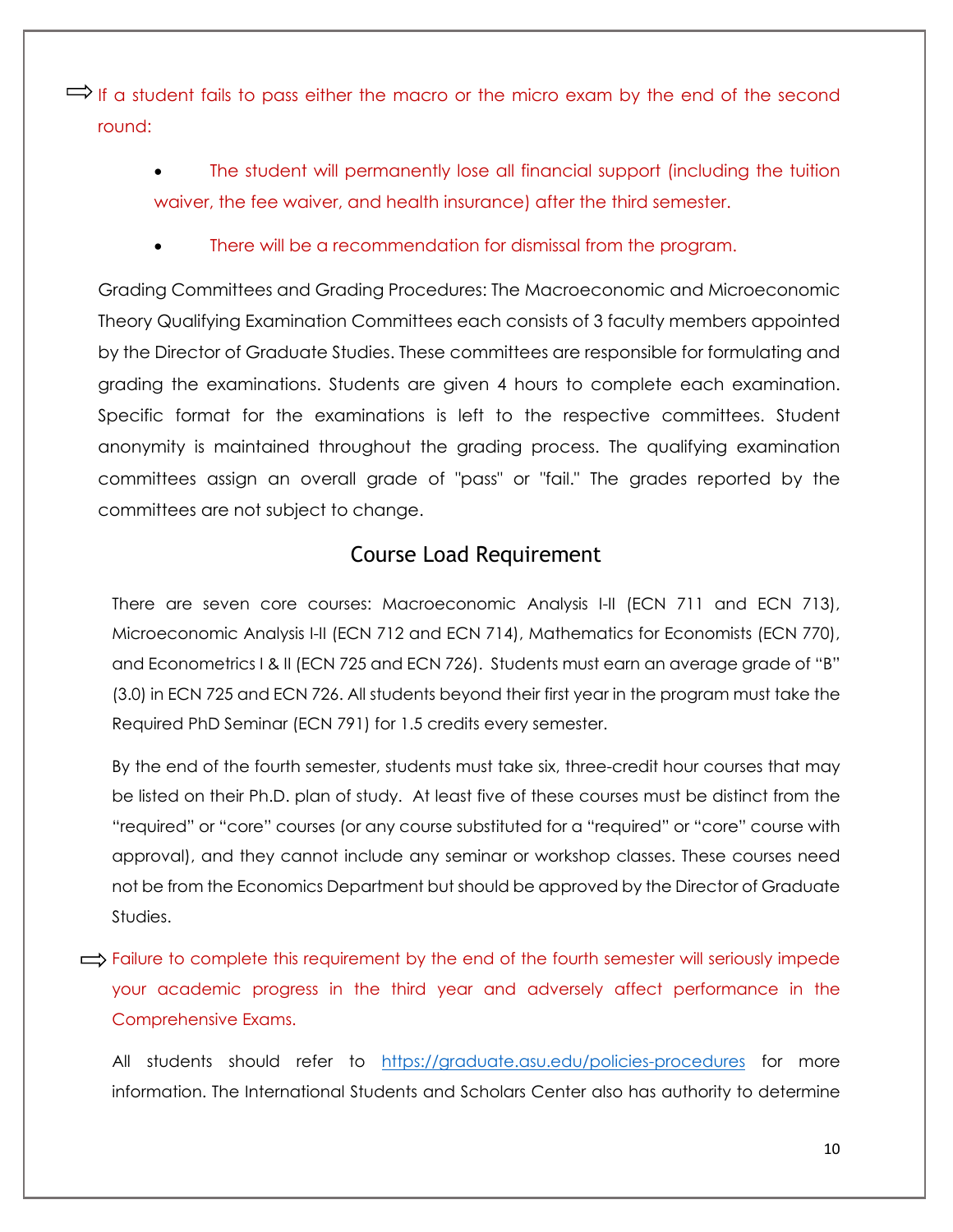$\Rightarrow$  If a student fails to pass either the macro or the micro exam by the end of the second round:

> The student will permanently lose all financial support (including the tuition waiver, the fee waiver, and health insurance) after the third semester.

There will be a recommendation for dismissal from the program.

Grading Committees and Grading Procedures: The Macroeconomic and Microeconomic Theory Qualifying Examination Committees each consists of 3 faculty members appointed by the Director of Graduate Studies. These committees are responsible for formulating and grading the examinations. Students are given 4 hours to complete each examination. Specific format for the examinations is left to the respective committees. Student anonymity is maintained throughout the grading process. The qualifying examination committees assign an overall grade of "pass" or "fail." The grades reported by the committees are not subject to change.

#### Course Load Requirement

There are seven core courses: Macroeconomic Analysis I-II (ECN 711 and ECN 713), Microeconomic Analysis I-II (ECN 712 and ECN 714), Mathematics for Economists (ECN 770), and Econometrics I & II (ECN 725 and ECN 726). Students must earn an average grade of "B" (3.0) in ECN 725 and ECN 726. All students beyond their first year in the program must take the Required PhD Seminar (ECN 791) for 1.5 credits every semester.

By the end of the fourth semester, students must take six, three-credit hour courses that may be listed on their Ph.D. plan of study. At least five of these courses must be distinct from the "required" or "core" courses (or any course substituted for a "required" or "core" course with approval), and they cannot include any seminar or workshop classes. These courses need not be from the Economics Department but should be approved by the Director of Graduate Studies.

 $\implies$  Failure to complete this requirement by the end of the fourth semester will seriously impede your academic progress in the third year and adversely affect performance in the Comprehensive Exams.

All students should refer to <https://graduate.asu.edu/policies-procedures> for more information. The International Students and Scholars Center also has authority to determine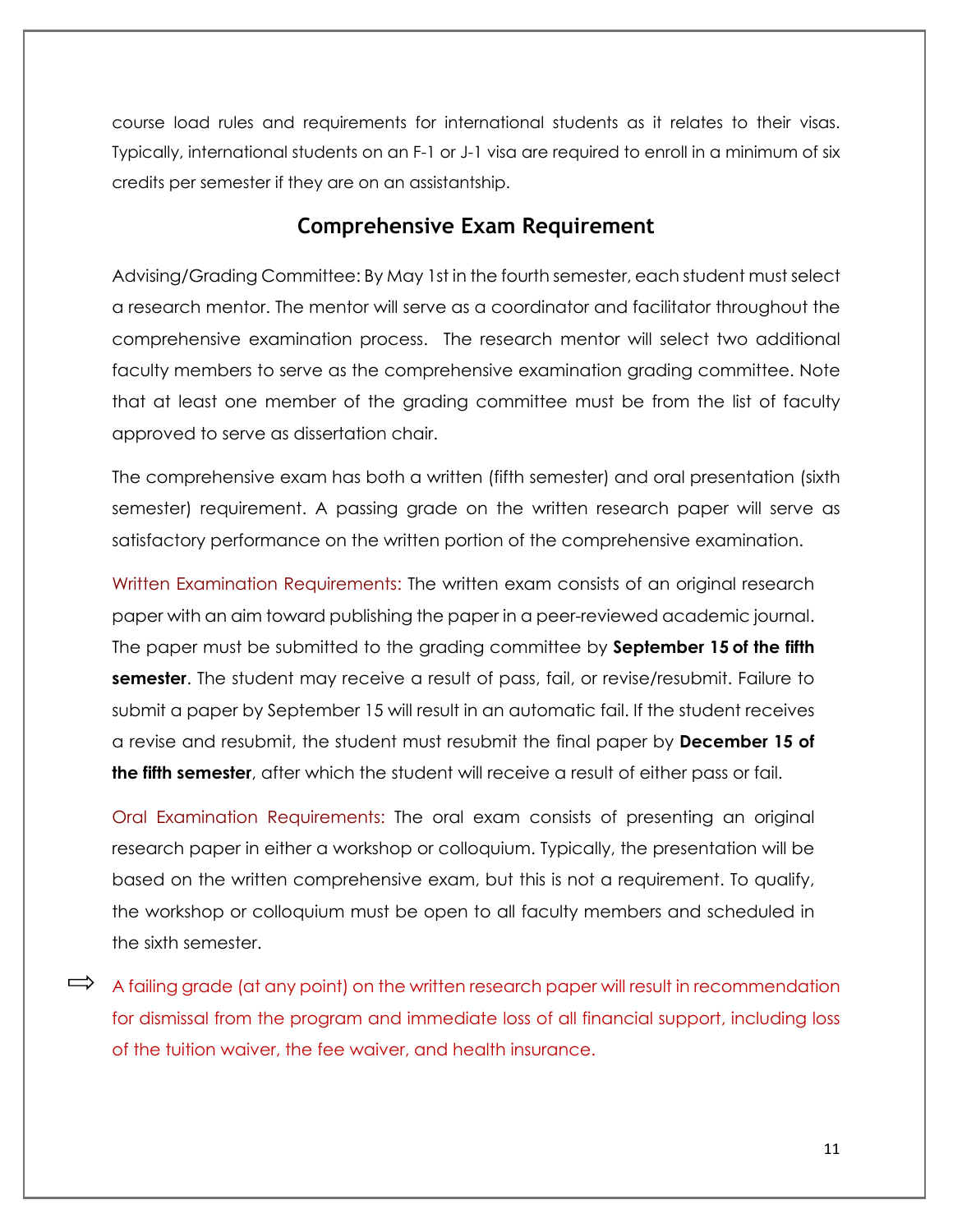course load rules and requirements for international students as it relates to their visas. Typically, international students on an F-1 or J-1 visa are required to enroll in a minimum of six credits per semester if they are on an assistantship.

#### **Comprehensive Exam Requirement**

Advising/Grading Committee: By May 1st in the fourth semester, each student must select a research mentor. The mentor will serve as a coordinator and facilitator throughout the comprehensive examination process. The research mentor will select two additional faculty members to serve as the comprehensive examination grading committee. Note that at least one member of the grading committee must be from the list of faculty approved to serve as dissertation chair.

The comprehensive exam has both a written (fifth semester) and oral presentation (sixth semester) requirement. A passing grade on the written research paper will serve as satisfactory performance on the written portion of the comprehensive examination.

Written Examination Requirements: The written exam consists of an original research paper with an aim toward publishing the paper in a peer-reviewed academic journal. The paper must be submitted to the grading committee by **September 15 of the fifth semester**. The student may receive a result of pass, fail, or revise/resubmit. Failure to submit a paper by September 15 will result in an automatic fail. If the student receives a revise and resubmit, the student must resubmit the final paper by **December 15 of the fifth semester**, after which the student will receive a result of either pass or fail.

Oral Examination Requirements: The oral exam consists of presenting an original research paper in either a workshop or colloquium. Typically, the presentation will be based on the written comprehensive exam, but this is not a requirement. To qualify, the workshop or colloquium must be open to all faculty members and scheduled in the sixth semester.

 $\Rightarrow$  A failing grade (at any point) on the written research paper will result in recommendation for dismissal from the program and immediate loss of all financial support, including loss of the tuition waiver, the fee waiver, and health insurance.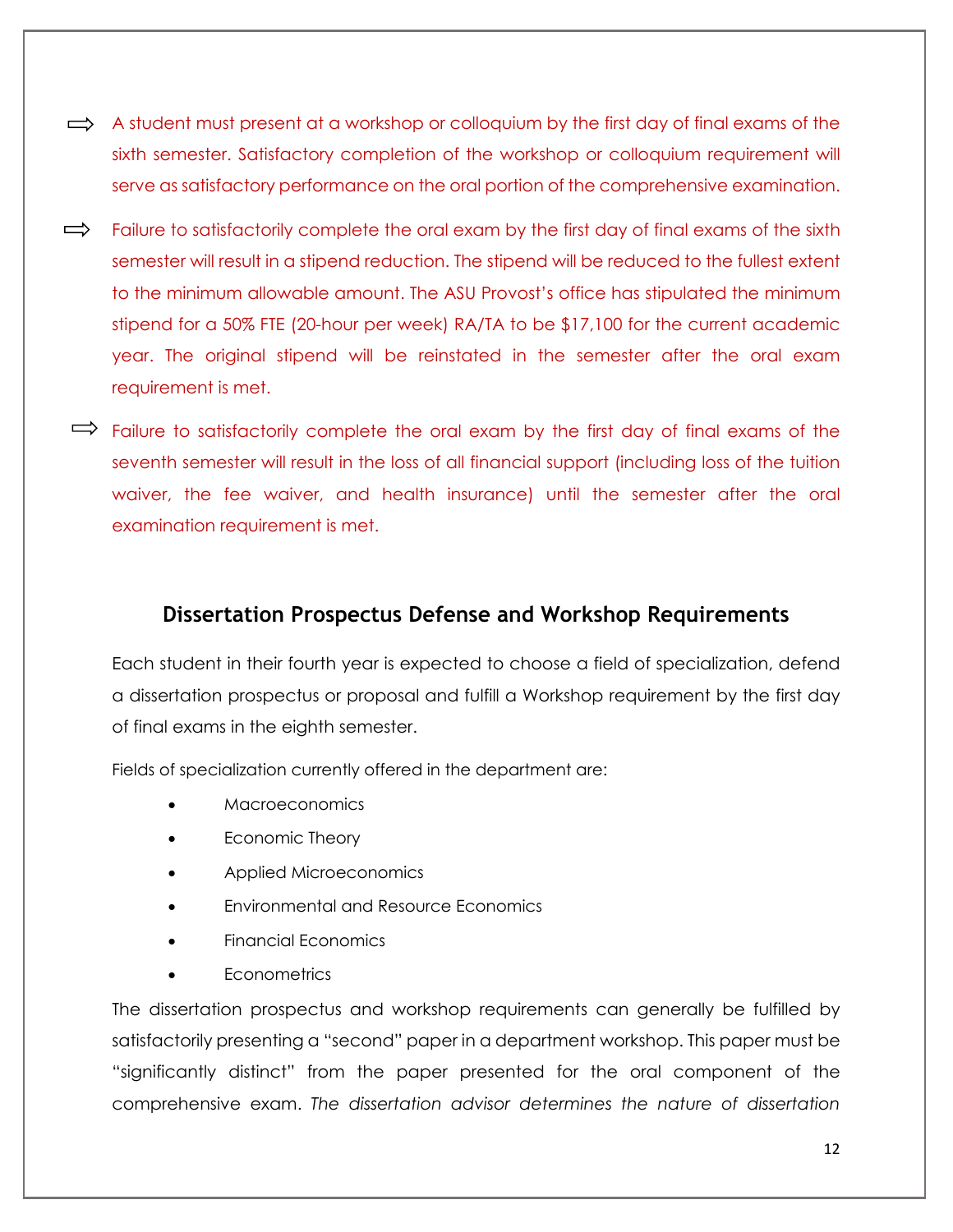- $\implies$  A student must present at a workshop or colloquium by the first day of final exams of the sixth semester. Satisfactory completion of the workshop or colloquium requirement will serve as satisfactory performance on the oral portion of the comprehensive examination.
- $\Rightarrow$ Failure to satisfactorily complete the oral exam by the first day of final exams of the sixth semester will result in a stipend reduction. The stipend will be reduced to the fullest extent to the minimum allowable amount. The ASU Provost's office has stipulated the minimum stipend for a 50% FTE (20-hour per week) RA/TA to be \$17,100 for the current academic year. The original stipend will be reinstated in the semester after the oral exam requirement is met.
- $\Rightarrow$  Failure to satisfactorily complete the oral exam by the first day of final exams of the seventh semester will result in the loss of all financial support (including loss of the tuition waiver, the fee waiver, and health insurance) until the semester after the oral examination requirement is met.

#### **Dissertation Prospectus Defense and Workshop Requirements**

Each student in their fourth year is expected to choose a field of specialization, defend a dissertation prospectus or proposal and fulfill a Workshop requirement by the first day of final exams in the eighth semester.

Fields of specialization currently offered in the department are:

- Macroeconomics
- Economic Theory
- Applied Microeconomics
- Environmental and Resource Economics
- Financial Economics
- **Econometrics**

The dissertation prospectus and workshop requirements can generally be fulfilled by satisfactorily presenting a "second" paper in a department workshop. This paper must be "significantly distinct" from the paper presented for the oral component of the comprehensive exam. *The dissertation advisor determines the nature of dissertation*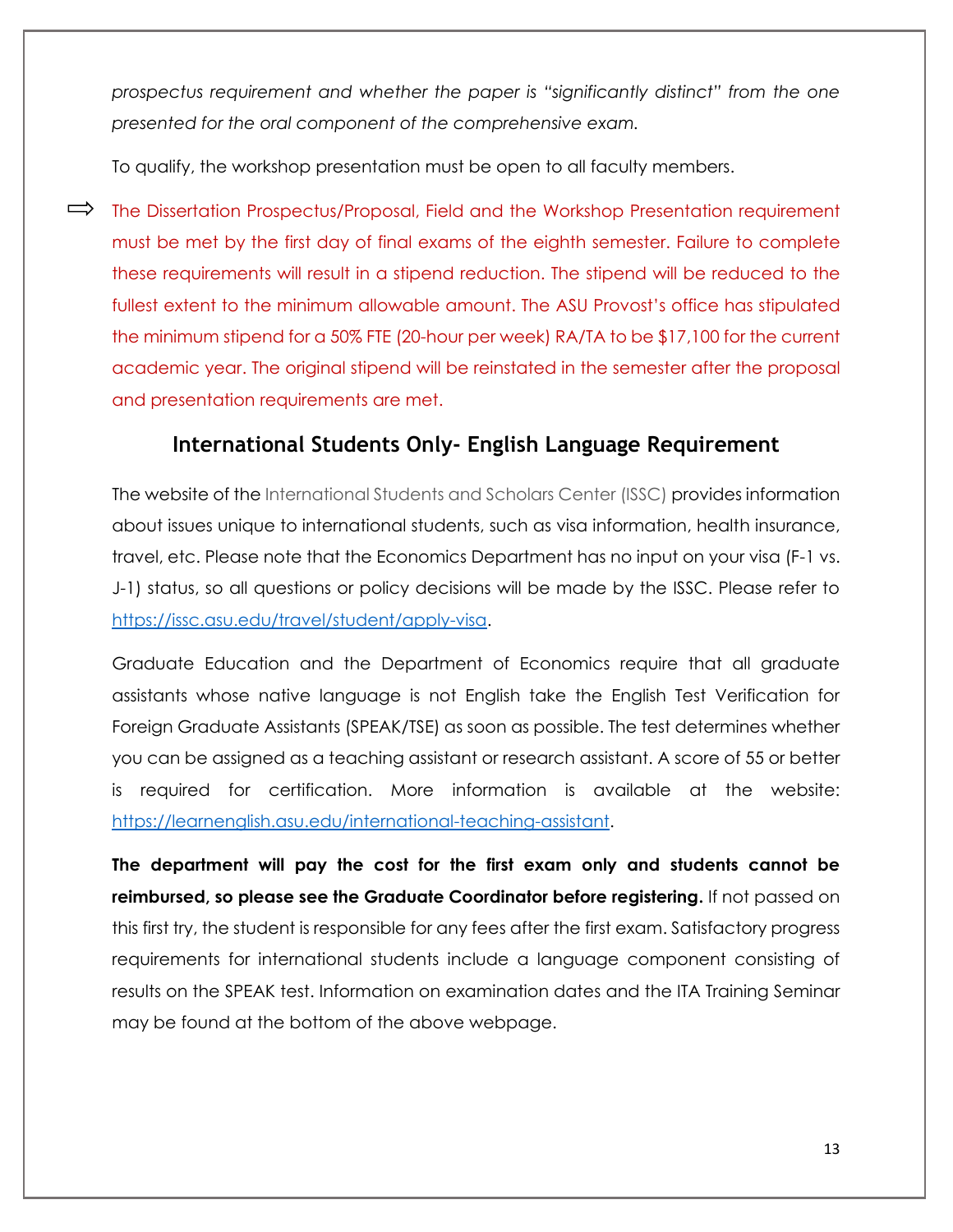*prospectus requirement and whether the paper is "significantly distinct" from the one presented for the oral component of the comprehensive exam.*

To qualify, the workshop presentation must be open to all faculty members.

 $\implies$  The Dissertation Prospectus/Proposal, Field and the Workshop Presentation requirement must be met by the first day of final exams of the eighth semester. Failure to complete these requirements will result in a stipend reduction. The stipend will be reduced to the fullest extent to the minimum allowable amount. The ASU Provost's office has stipulated the minimum stipend for a 50% FTE (20-hour per week) RA/TA to be \$17,100 for the current academic year. The original stipend will be reinstated in the semester after the proposal and presentation requirements are met.

## **International Students Only- English Language Requirement**

The website of the International Students and Scholars Center (ISSC) provides information about issues unique to international students, such as visa information, health insurance, travel, etc. Please note that the Economics Department has no input on your visa (F-1 vs. J-1) status, so all questions or policy decisions will be made by the ISSC. Please refer to [https://issc.asu.edu/travel/student/apply-visa.](https://issc.asu.edu/travel/student/apply-visa)

Graduate Education and the Department of Economics require that all graduate assistants whose native language is not English take the English Test Verification for Foreign Graduate Assistants (SPEAK/TSE) as soon as possible. The test determines whether you can be assigned as a teaching assistant or research assistant. A score of 55 or better is required for certification. More information is available at the website: [https://learnenglish.asu.edu/international-teaching-assistant.](https://learnenglish.asu.edu/international-teaching-assistant)

**The department will pay the cost for the first exam only and students cannot be reimbursed, so please see the Graduate Coordinator before registering.** If not passed on this first try, the student is responsible for any fees after the first exam. Satisfactory progress requirements for international students include a language component consisting of results on the SPEAK test. Information on examination dates and the ITA Training Seminar may be found at the bottom of the above webpage.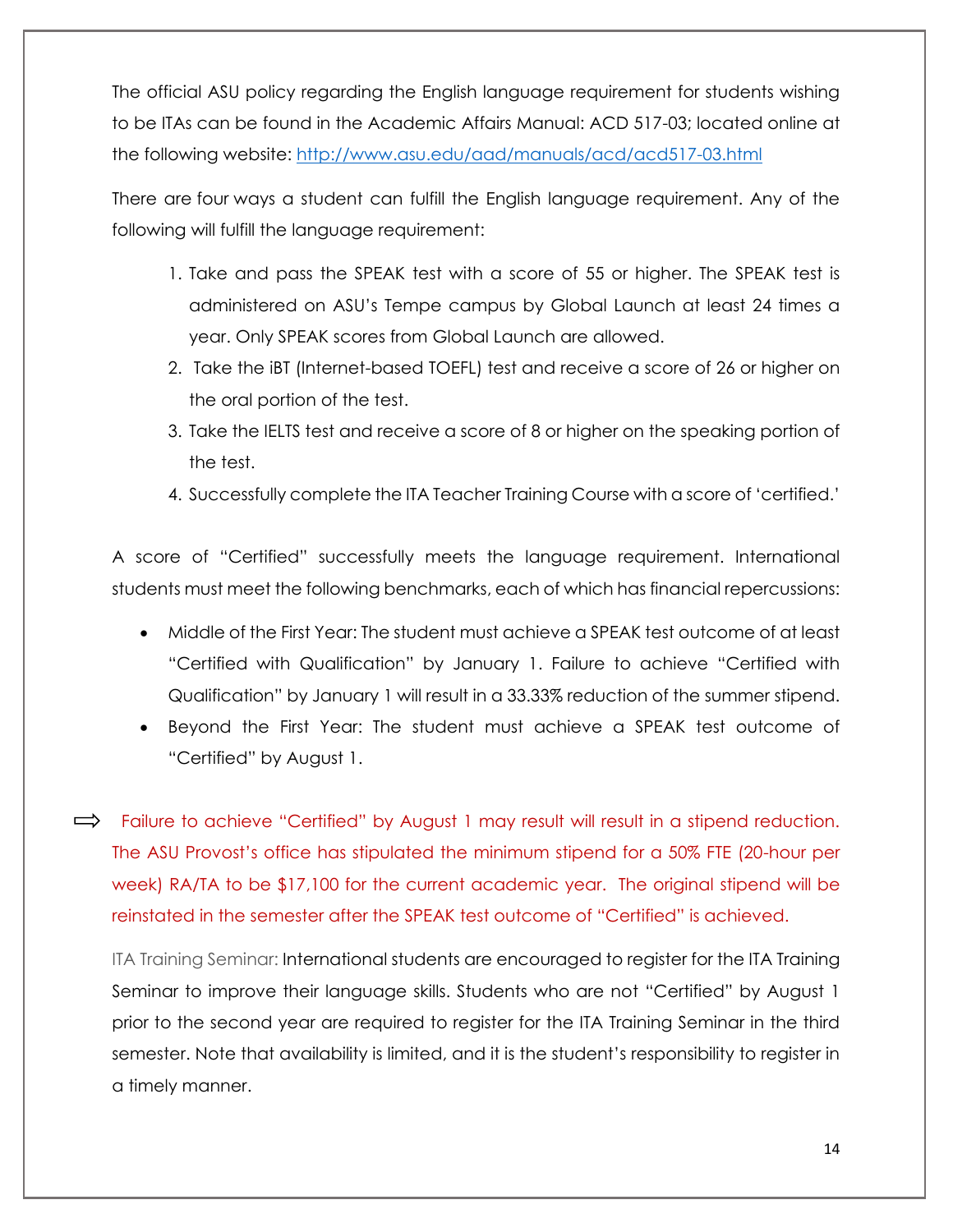The official ASU policy regarding the English language requirement for students wishing to be ITAs can be found in the Academic Affairs Manual: ACD 517-03; located online at the following website:<http://www.asu.edu/aad/manuals/acd/acd517-03.html>

There are four ways a student can fulfill the English language requirement. Any of the following will fulfill the language requirement:

- 1. Take and pass the SPEAK test with a score of 55 or higher. The SPEAK test is administered on ASU's Tempe campus by Global Launch at least 24 times a year. Only SPEAK scores from Global Launch are allowed.
- 2. Take the iBT (Internet-based TOEFL) test and receive a score of 26 or higher on the oral portion of the test.
- 3. Take the IELTS test and receive a score of 8 or higher on the speaking portion of the test.
- 4. Successfully complete the ITA Teacher Training Course with a score of 'certified.'

A score of "Certified" successfully meets the language requirement. International students must meet the following benchmarks, each of which has financial repercussions:

- Middle of the First Year: The student must achieve a SPEAK test outcome of at least "Certified with Qualification" by January 1. Failure to achieve "Certified with Qualification" by January 1 will result in a 33.33% reduction of the summer stipend.
- Beyond the First Year: The student must achieve a SPEAK test outcome of "Certified" by August 1.

 $\Rightarrow$  Failure to achieve "Certified" by August 1 may result will result in a stipend reduction. The ASU Provost's office has stipulated the minimum stipend for a 50% FTE (20-hour per week) RA/TA to be \$17,100 for the current academic year. The original stipend will be reinstated in the semester after the SPEAK test outcome of "Certified" is achieved.

ITA Training Seminar: International students are encouraged to register for the ITA Training Seminar to improve their language skills. Students who are not "Certified" by August 1 prior to the second year are required to register for the ITA Training Seminar in the third semester. Note that availability is limited, and it is the student's responsibility to register in a timely manner.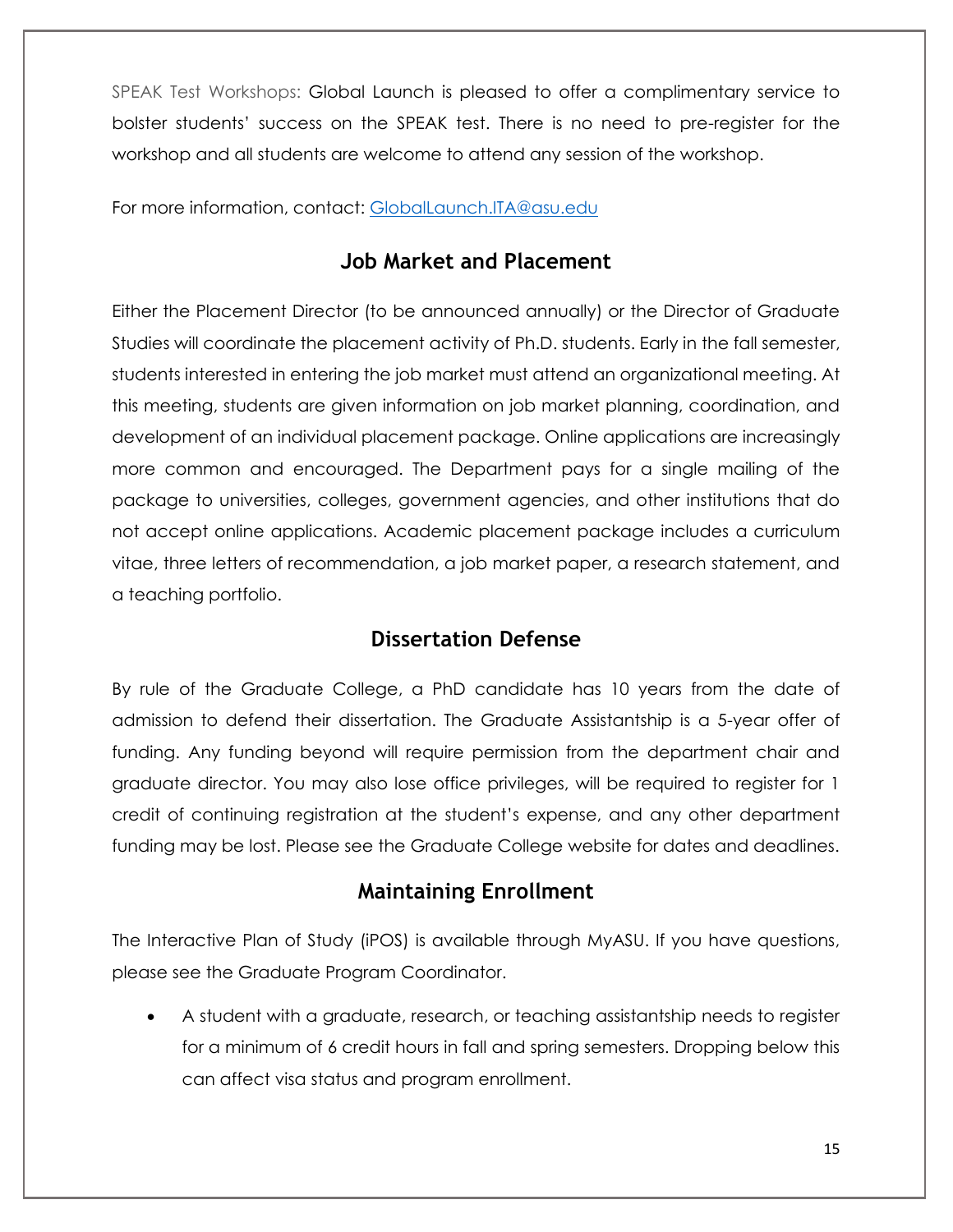SPEAK Test Workshops: Global Launch is pleased to offer a complimentary service to bolster students' success on the SPEAK test. There is no need to pre-register for the workshop and all students are welcome to attend any session of the workshop.

For more information, contact: [GlobalLaunch.ITA@asu.edu](mailto:GlobalLaunch.ITA@asu.edu)

### **Job Market and Placement**

Either the Placement Director (to be announced annually) or the Director of Graduate Studies will coordinate the placement activity of Ph.D. students. Early in the fall semester, students interested in entering the job market must attend an organizational meeting. At this meeting, students are given information on job market planning, coordination, and development of an individual placement package. Online applications are increasingly more common and encouraged. The Department pays for a single mailing of the package to universities, colleges, government agencies, and other institutions that do not accept online applications. Academic placement package includes a curriculum vitae, three letters of recommendation, a job market paper, a research statement, and a teaching portfolio.

#### **Dissertation Defense**

By rule of the Graduate College, a PhD candidate has 10 years from the date of admission to defend their dissertation. The Graduate Assistantship is a 5-year offer of funding. Any funding beyond will require permission from the department chair and graduate director. You may also lose office privileges, will be required to register for 1 credit of continuing registration at the student's expense, and any other department funding may be lost. Please see the Graduate College website for dates and deadlines.

### **Maintaining Enrollment**

The Interactive Plan of Study (iPOS) is available through MyASU. If you have questions, please see the Graduate Program Coordinator.

 A student with a graduate, research, or teaching assistantship needs to register for a minimum of 6 credit hours in fall and spring semesters. Dropping below this can affect visa status and program enrollment.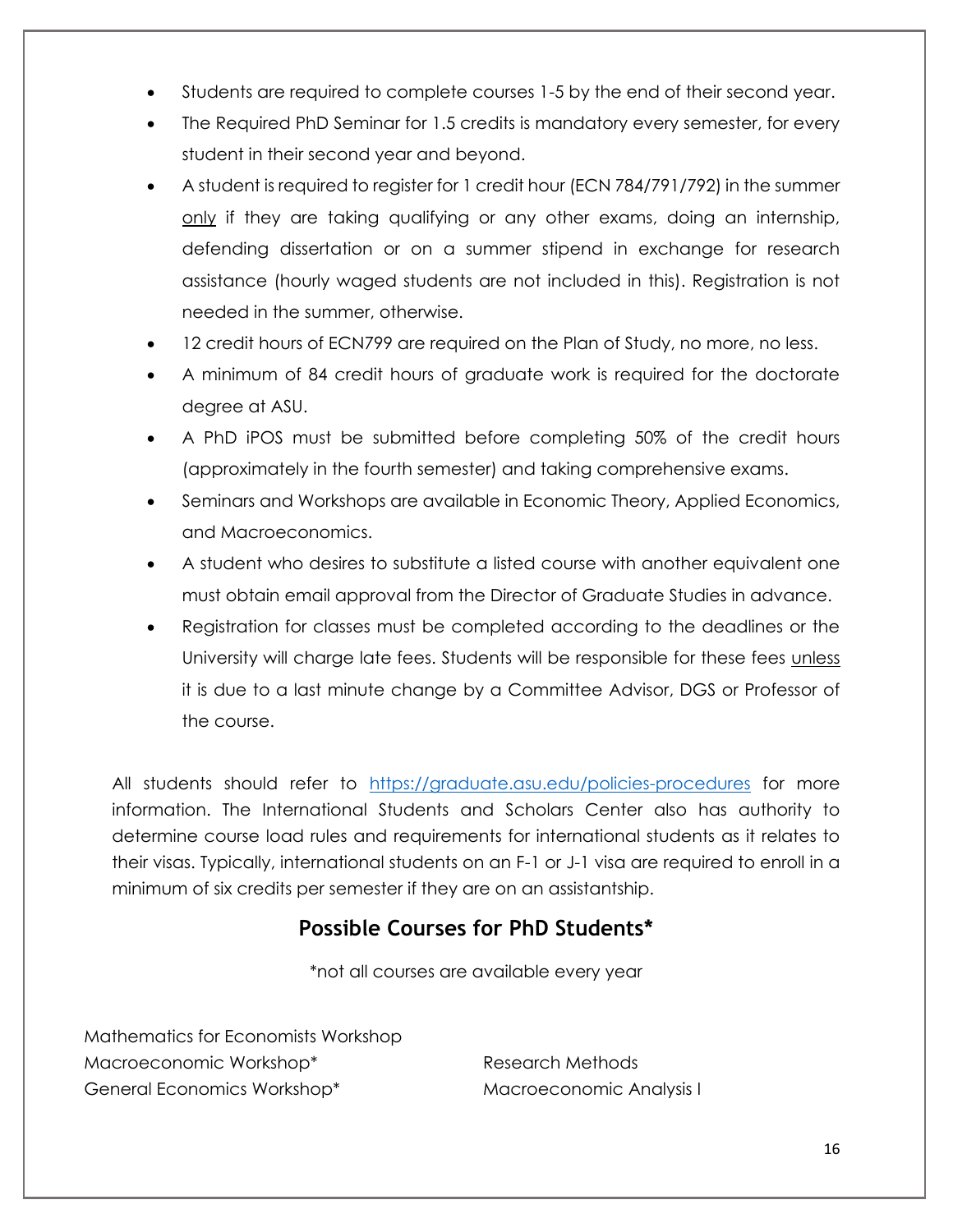- Students are required to complete courses 1-5 by the end of their second year.
- The Required PhD Seminar for 1.5 credits is mandatory every semester, for every student in their second year and beyond.
- A student is required to register for 1 credit hour (ECN 784/791/792) in the summer only if they are taking qualifying or any other exams, doing an internship, defending dissertation or on a summer stipend in exchange for research assistance (hourly waged students are not included in this). Registration is not needed in the summer, otherwise.
- 12 credit hours of ECN799 are required on the Plan of Study, no more, no less.
- A minimum of 84 credit hours of graduate work is required for the doctorate degree at ASU.
- A PhD iPOS must be submitted before completing 50% of the credit hours (approximately in the fourth semester) and taking comprehensive exams.
- Seminars and Workshops are available in Economic Theory, Applied Economics, and Macroeconomics.
- A student who desires to substitute a listed course with another equivalent one must obtain email approval from the Director of Graduate Studies in advance.
- Registration for classes must be completed according to the deadlines or the University will charge late fees. Students will be responsible for these fees unless it is due to a last minute change by a Committee Advisor, DGS or Professor of the course.

All students should refer to <https://graduate.asu.edu/policies-procedures> for more information. The International Students and Scholars Center also has authority to determine course load rules and requirements for international students as it relates to their visas. Typically, international students on an F-1 or J-1 visa are required to enroll in a minimum of six credits per semester if they are on an assistantship.

## **Possible Courses for PhD Students\***

\*not all courses are available every year

Mathematics for Economists Workshop Macroeconomic Workshop\* General Economics Workshop\*

Research Methods Macroeconomic Analysis I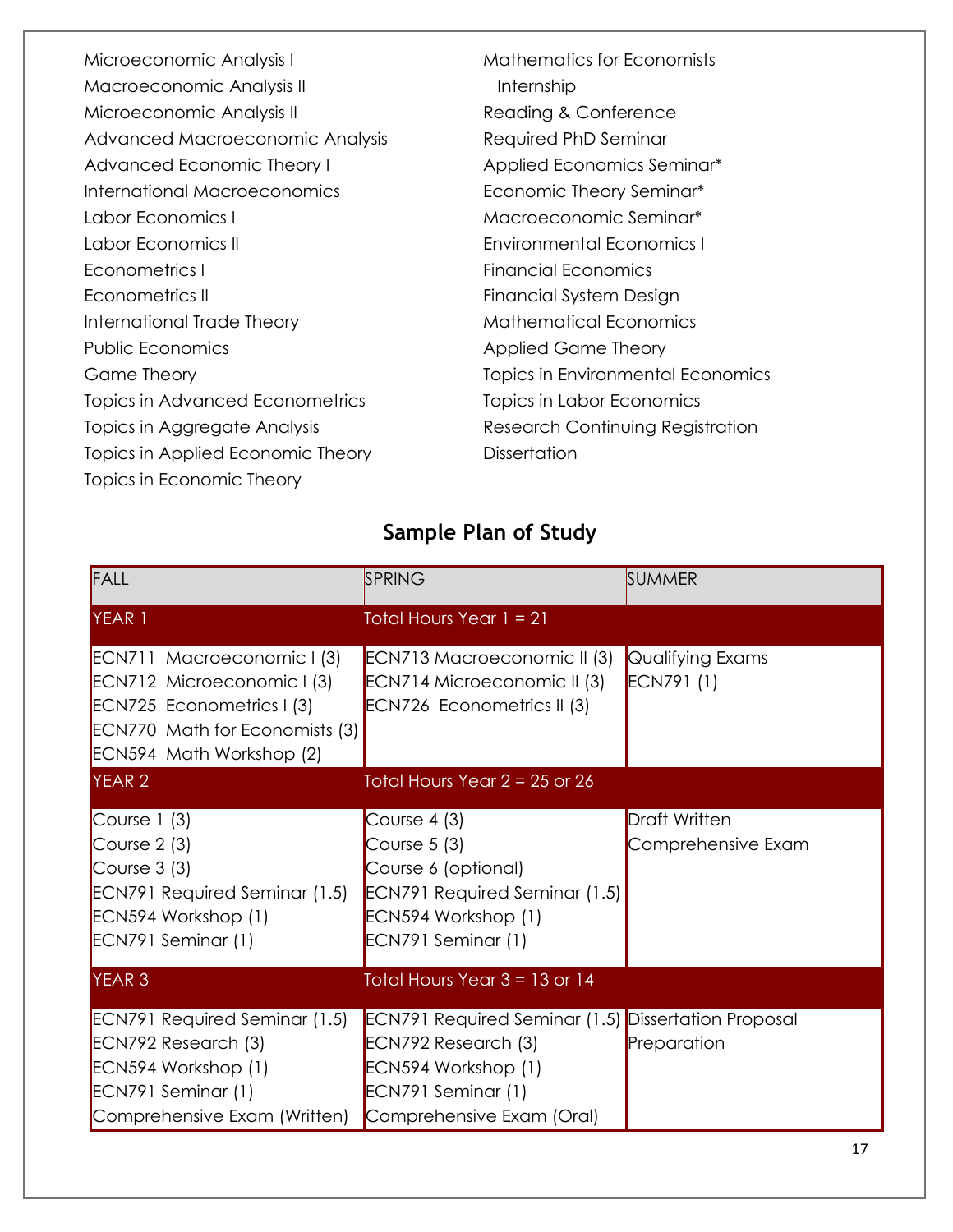| Microeconomic Analysis I          | <b>Mathematics for Economists</b> |
|-----------------------------------|-----------------------------------|
| Macroeconomic Analysis II         | Internship                        |
| Microeconomic Analysis II         | Reading & Conference              |
| Advanced Macroeconomic Analysis   | Required PhD Seminar              |
| Advanced Economic Theory I        | Applied Economics Seminar*        |
| International Macroeconomics      | Economic Theory Seminar*          |
| Labor Economics I                 | Macroeconomic Seminar*            |
| Labor Economics III               | <b>Environmental Economics I</b>  |
| Econometrics I                    | Financial Economics               |
| Econometrics II                   | Financial System Design           |
| International Trade Theory        | <b>Mathematical Economics</b>     |
| <b>Public Economics</b>           | <b>Applied Game Theory</b>        |
| Game Theory                       | Topics in Environmental Economics |
| Topics in Advanced Econometrics   | Topics in Labor Economics         |
| Topics in Aggregate Analysis      | Research Continuing Registration  |
| Topics in Applied Economic Theory | <b>Dissertation</b>               |
| Topics in Economic Theory         |                                   |

# **Sample Plan of Study**

| FALL                                                                                                                                                              | SPRING                                                                                                                                                      | <b>SUMMER</b>                              |
|-------------------------------------------------------------------------------------------------------------------------------------------------------------------|-------------------------------------------------------------------------------------------------------------------------------------------------------------|--------------------------------------------|
| YEAR 1                                                                                                                                                            | Total Hours Year $1 = 21$                                                                                                                                   |                                            |
| ECN711 Macroeconomic I (3)<br>ECN712 Microeconomic I (3)<br>ECN725 Econometrics I (3)<br><b>ECN770 Math for Economists (3)</b><br><b>ECN594 Math Workshop (2)</b> | ECN713 Macroeconomic II (3)<br>ECN714 Microeconomic II (3)<br>ECN726 Econometrics II (3)                                                                    | Qualifying Exams<br>ECN791 (1)             |
| <b>YEAR 2</b>                                                                                                                                                     | Total Hours Year $2 = 25$ or 26                                                                                                                             |                                            |
| Course $1(3)$<br>Course $2(3)$<br>Course $3(3)$<br><b>ECN791 Required Seminar (1.5)</b><br>ECN594 Workshop (1)<br>ECN791 Seminar (1)                              | Course $4(3)$<br>Course $5(3)$<br>Course 6 (optional)<br><b>ECN791 Required Seminar (1.5)</b><br>ECN594 Workshop (1)<br>ECN791 Seminar (1)                  | <b>Draft Written</b><br>Comprehensive Exam |
| <b>YEAR 3</b>                                                                                                                                                     | Total Hours Year $3 = 13$ or 14                                                                                                                             |                                            |
| <b>ECN791 Required Seminar (1.5)</b><br>ECN792 Research (3)<br>ECN594 Workshop (1)<br>ECN791 Seminar (1)<br>Comprehensive Exam (Written)                          | <b>ECN791 Required Seminar (1.5) Dissertation Proposal</b><br>ECN792 Research (3)<br>ECN594 Workshop (1)<br>ECN791 Seminar (1)<br>Comprehensive Exam (Oral) | Preparation                                |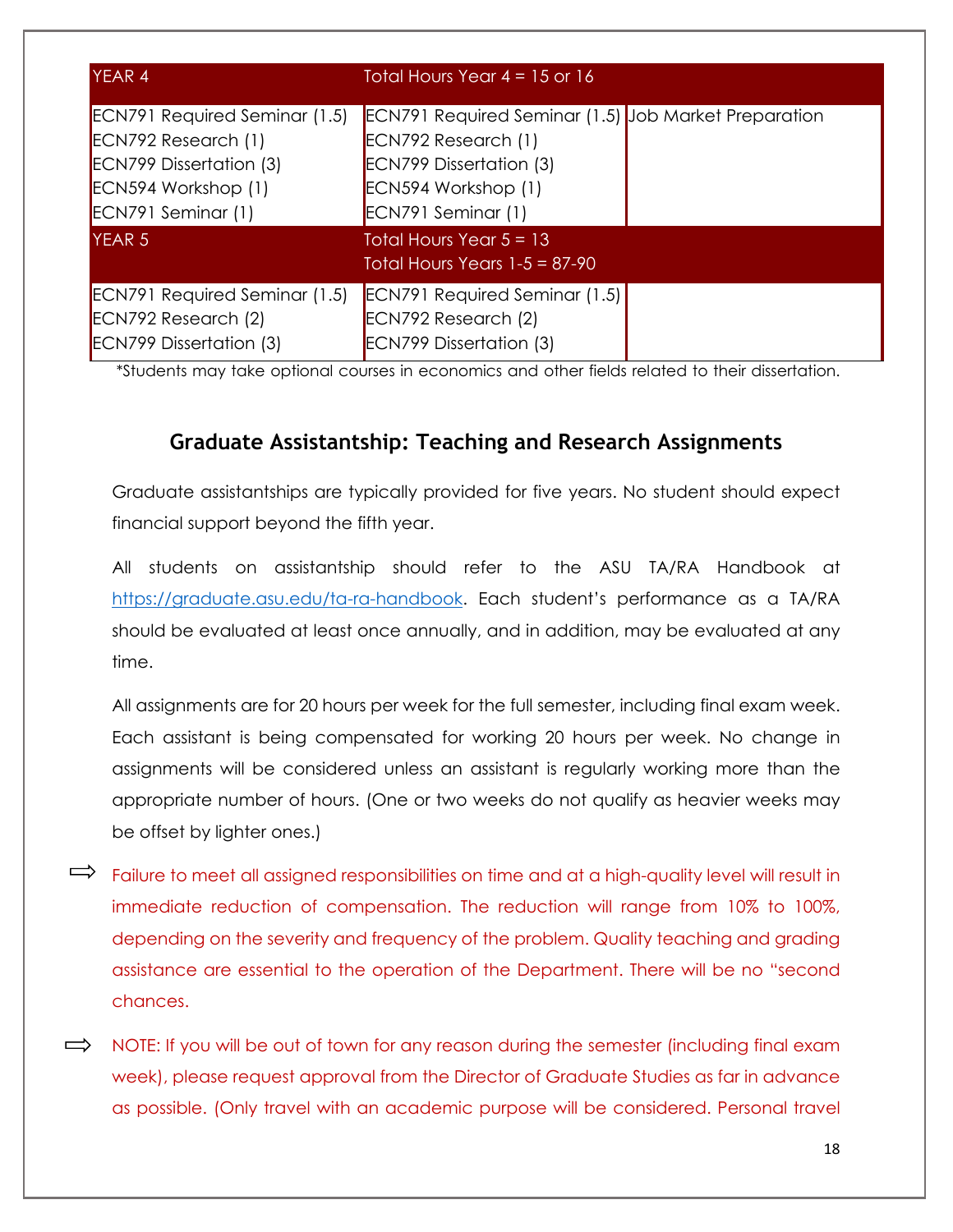| <b>YEAR 4</b>                                                                                                                              | Total Hours Year $4 = 15$ or 16                                                                                                                                   |  |
|--------------------------------------------------------------------------------------------------------------------------------------------|-------------------------------------------------------------------------------------------------------------------------------------------------------------------|--|
| <b>ECN791 Required Seminar (1.5)</b><br>ECN792 Research (1)<br><b>ECN799 Dissertation (3)</b><br>ECN594 Workshop (1)<br>ECN791 Seminar (1) | <b>ECN791 Required Seminar (1.5) Job Market Preparation</b><br>ECN792 Research (1)<br><b>ECN799 Dissertation (3)</b><br>ECN594 Workshop (1)<br>ECN791 Seminar (1) |  |
| <b>YEAR 5</b>                                                                                                                              | Total Hours Year $5 = 13$<br>Total Hours Years $1-5 = 87-90$                                                                                                      |  |
| <b>ECN791 Required Seminar (1.5)</b><br>ECN792 Research (2)<br><b>ECN799 Dissertation (3)</b>                                              | <b>ECN791 Required Seminar (1.5)</b><br>ECN792 Research (2)<br><b>ECN799 Dissertation (3)</b>                                                                     |  |

\*Students may take optional courses in economics and other fields related to their dissertation.

## **Graduate Assistantship: Teaching and Research Assignments**

Graduate assistantships are typically provided for five years. No student should expect financial support beyond the fifth year.

All students on assistantship should refer to the ASU TA/RA Handbook at [https://graduate.asu.edu/ta-ra-handbook.](https://graduate.asu.edu/ta-ra-handbook) Each student's performance as a TA/RA should be evaluated at least once annually, and in addition, may be evaluated at any time.

All assignments are for 20 hours per week for the full semester, including final exam week. Each assistant is being compensated for working 20 hours per week. No change in assignments will be considered unless an assistant is regularly working more than the appropriate number of hours. (One or two weeks do not qualify as heavier weeks may be offset by lighter ones.)

- $\Rightarrow$  Failure to meet all assigned responsibilities on time and at a high-quality level will result in immediate reduction of compensation. The reduction will range from 10% to 100%, depending on the severity and frequency of the problem. Quality teaching and grading assistance are essential to the operation of the Department. There will be no "second chances.
- $\implies$  NOTE: If you will be out of town for any reason during the semester (including final exam week), please request approval from the Director of Graduate Studies as far in advance as possible. (Only travel with an academic purpose will be considered. Personal travel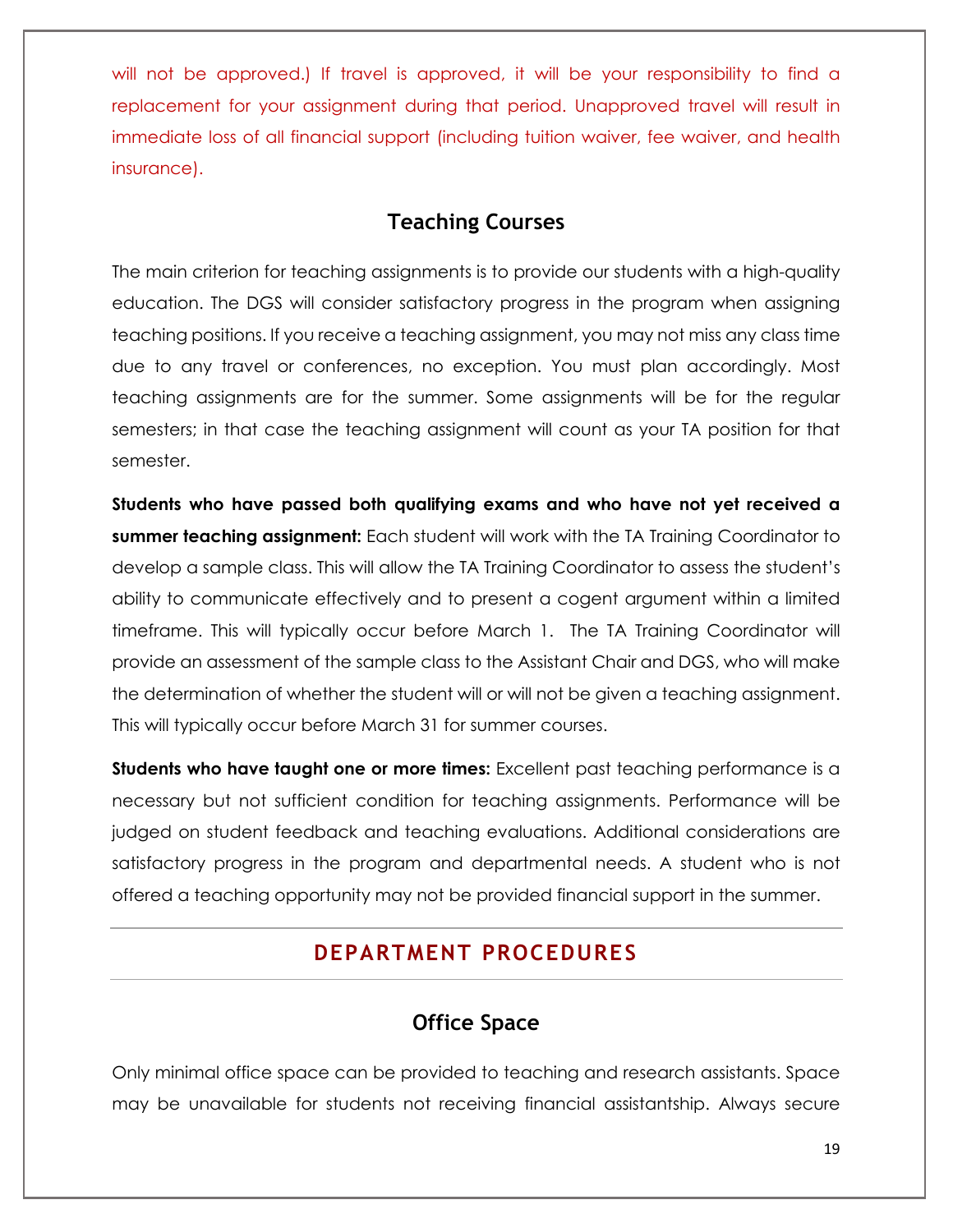will not be approved.) If travel is approved, it will be your responsibility to find a replacement for your assignment during that period. Unapproved travel will result in immediate loss of all financial support (including tuition waiver, fee waiver, and health insurance).

## **Teaching Courses**

The main criterion for teaching assignments is to provide our students with a high-quality education. The DGS will consider satisfactory progress in the program when assigning teaching positions. If you receive a teaching assignment, you may not miss any class time due to any travel or conferences, no exception. You must plan accordingly. Most teaching assignments are for the summer. Some assignments will be for the regular semesters; in that case the teaching assignment will count as your TA position for that semester.

**Students who have passed both qualifying exams and who have not yet received a summer teaching assignment:** Each student will work with the TA Training Coordinator to develop a sample class. This will allow the TA Training Coordinator to assess the student's ability to communicate effectively and to present a cogent argument within a limited timeframe. This will typically occur before March 1. The TA Training Coordinator will provide an assessment of the sample class to the Assistant Chair and DGS, who will make the determination of whether the student will or will not be given a teaching assignment. This will typically occur before March 31 for summer courses.

**Students who have taught one or more times:** Excellent past teaching performance is a necessary but not sufficient condition for teaching assignments. Performance will be judged on student feedback and teaching evaluations. Additional considerations are satisfactory progress in the program and departmental needs. A student who is not offered a teaching opportunity may not be provided financial support in the summer.

## **DEPARTMENT PROCEDURES**

## **Office Space**

Only minimal office space can be provided to teaching and research assistants. Space may be unavailable for students not receiving financial assistantship. Always secure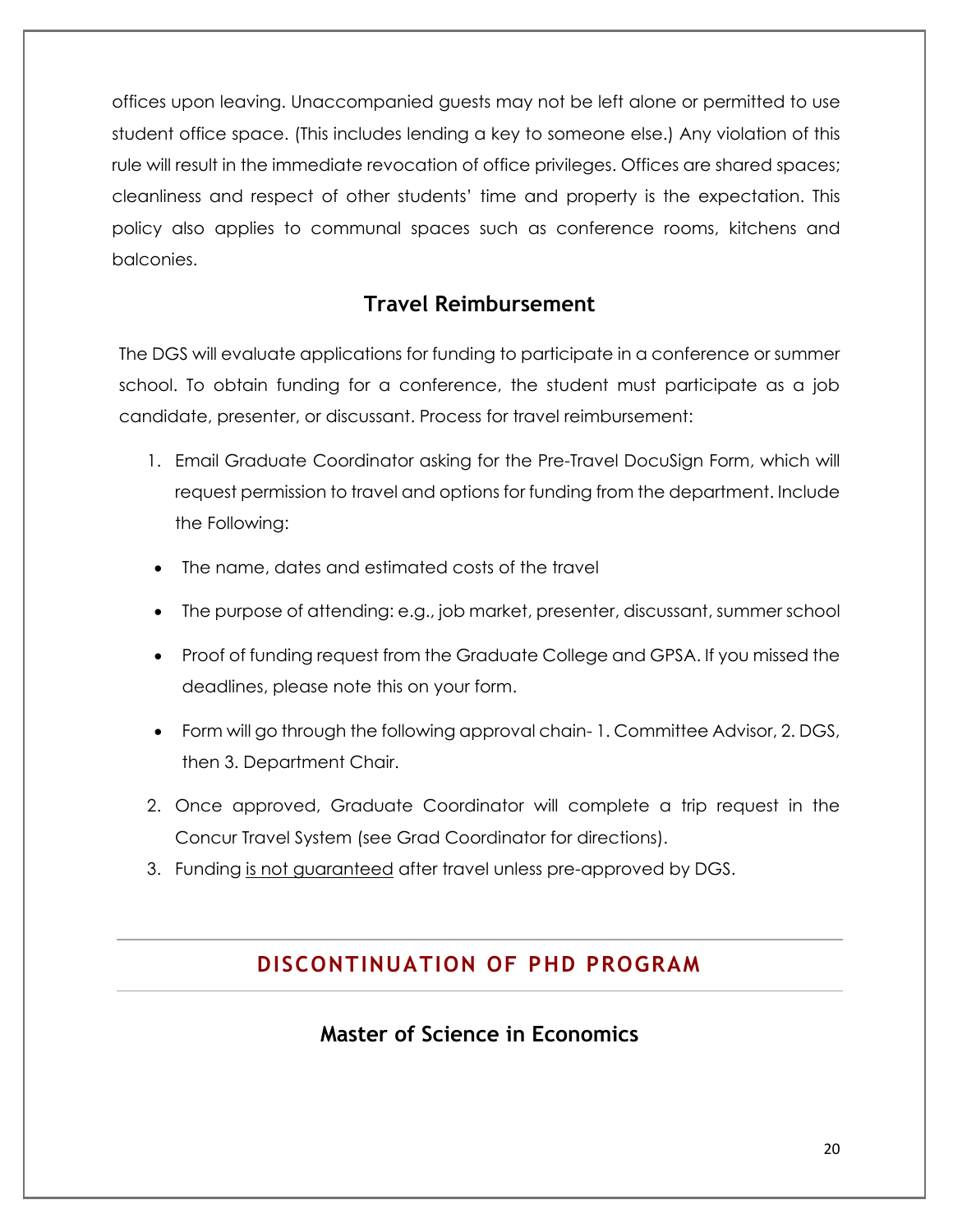offices upon leaving. Unaccompanied guests may not be left alone or permitted to use student office space. (This includes lending a key to someone else.) Any violation of this rule will result in the immediate revocation of office privileges. Offices are shared spaces; cleanliness and respect of other students' time and property is the expectation. This policy also applies to communal spaces such as conference rooms, kitchens and balconies.

## **Travel Reimbursement**

The DGS will evaluate applications for funding to participate in a conference or summer school. To obtain funding for a conference, the student must participate as a job candidate, presenter, or discussant. Process for travel reimbursement:

- 1. Email Graduate Coordinator asking for the Pre-Travel DocuSign Form, which will request permission to travel and options for funding from the department. Include the Following:
- The name, dates and estimated costs of the travel
- The purpose of attending: e.g., job market, presenter, discussant, summer school
- Proof of funding request from the Graduate College and GPSA. If you missed the deadlines, please note this on your form.
- Form will go through the following approval chain- 1. Committee Advisor, 2. DGS, then 3. Department Chair.
- 2. Once approved, Graduate Coordinator will complete a trip request in the Concur Travel System (see Grad Coordinator for directions).
- 3. Funding is not guaranteed after travel unless pre-approved by DGS.

### **DISCONTINUATION OF PHD PROGRAM**

## **Master of Science in Economics**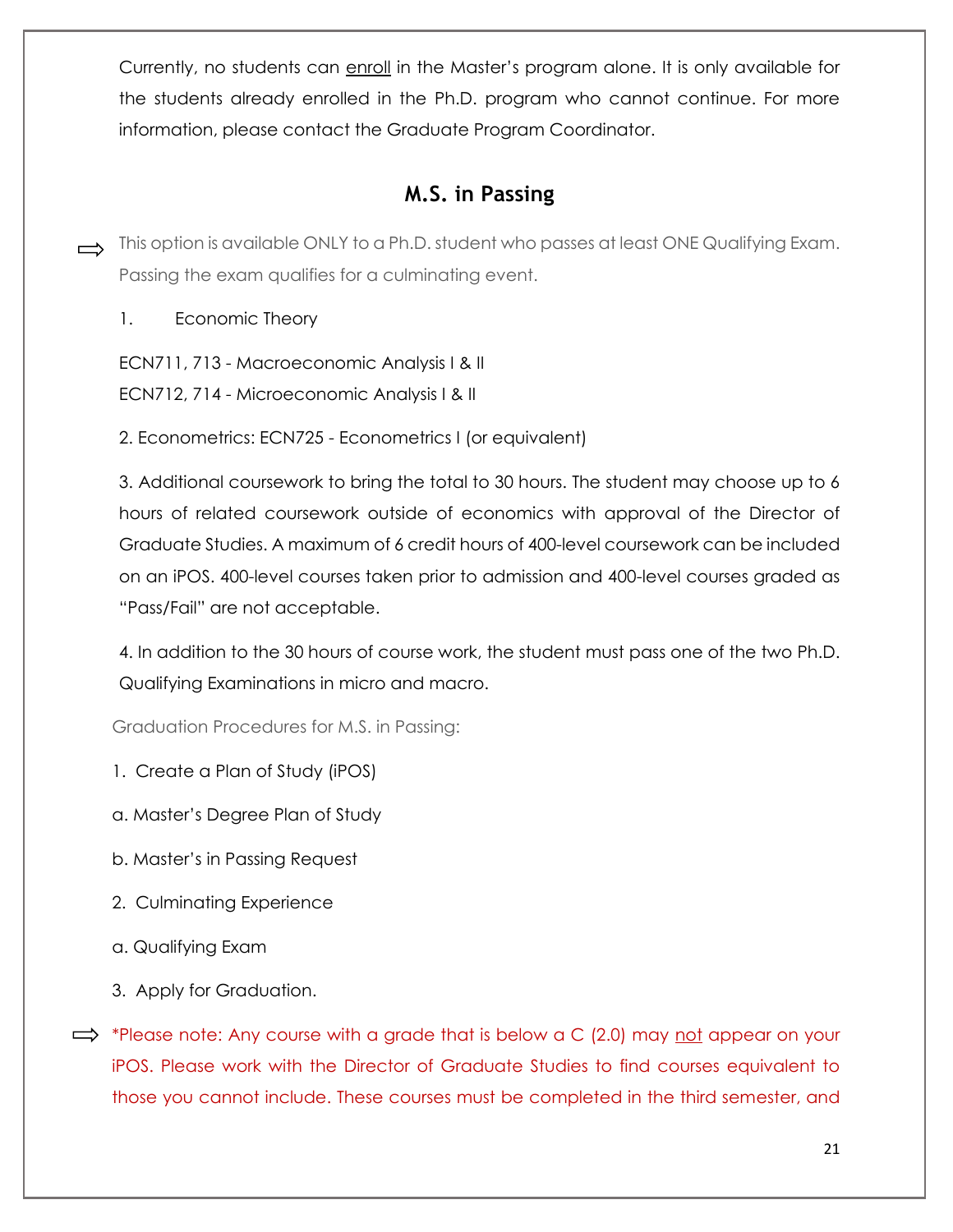Currently, no students can enroll in the Master's program alone. It is only available for the students already enrolled in the Ph.D. program who cannot continue. For more information, please contact the Graduate Program Coordinator.

## **M.S. in Passing**

- This option is available ONLY to a Ph.D. student who passes at least ONE Qualifying Exam. Passing the exam qualifies for a culminating event.
	- 1. Economic Theory

ECN711, 713 - Macroeconomic Analysis I & II

ECN712, 714 - Microeconomic Analysis I & II

2. Econometrics: ECN725 - Econometrics I (or equivalent)

3. Additional coursework to bring the total to 30 hours. The student may choose up to 6 hours of related coursework outside of economics with approval of the Director of Graduate Studies. A maximum of 6 credit hours of 400-level coursework can be included on an iPOS. 400-level courses taken prior to admission and 400-level courses graded as "Pass/Fail" are not acceptable.

4. In addition to the 30 hours of course work, the student must pass one of the two Ph.D. Qualifying Examinations in micro and macro.

Graduation Procedures for M.S. in Passing:

- 1. Create a Plan of Study (iPOS)
- a. Master's Degree Plan of Study
- b. Master's in Passing Request
- 2. Culminating Experience
- a. Qualifying Exam
- 3. Apply for Graduation.
- $\implies$  \*Please note: Any course with a grade that is below a C (2.0) may not appear on your iPOS. Please work with the Director of Graduate Studies to find courses equivalent to those you cannot include. These courses must be completed in the third semester, and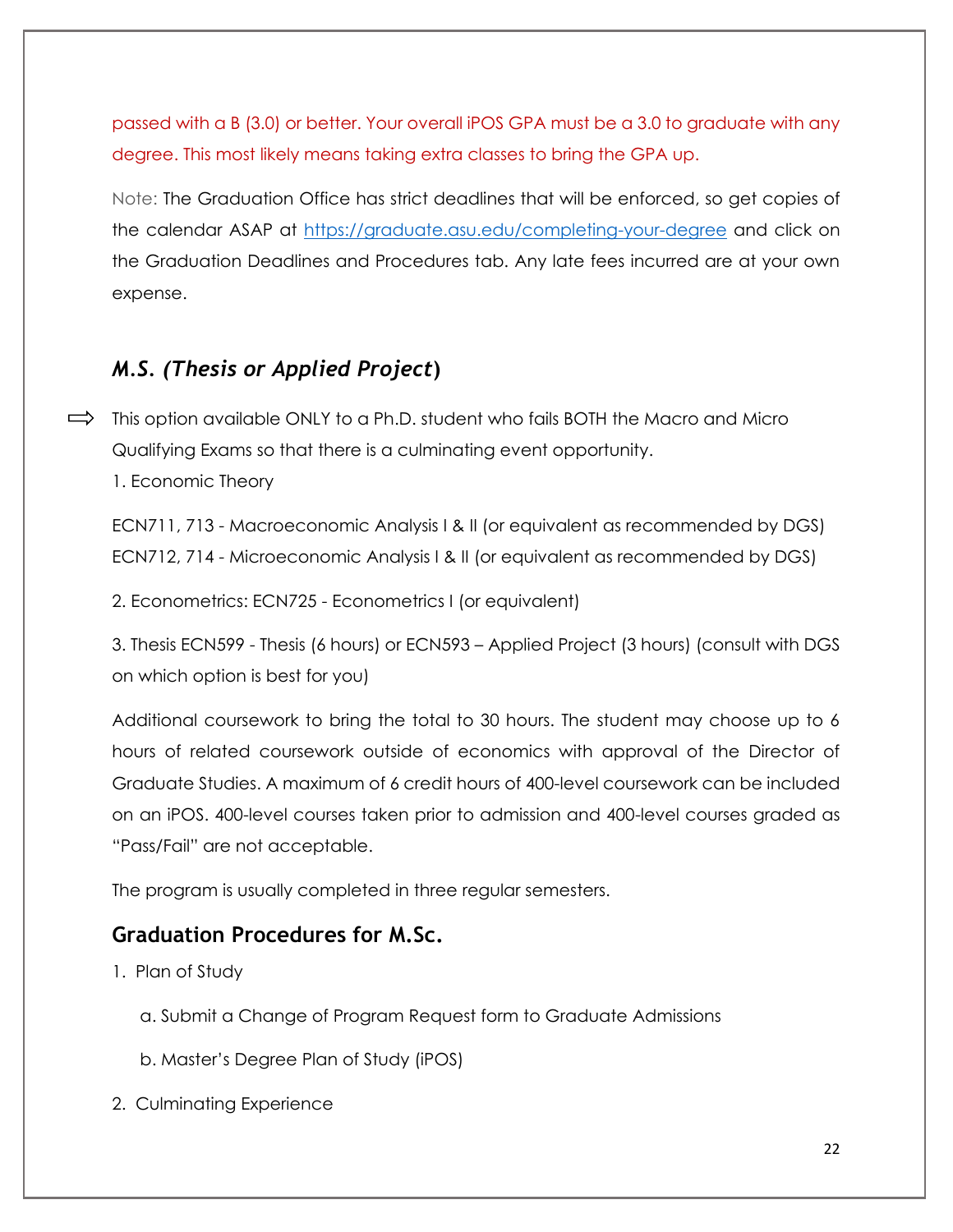passed with a B (3.0) or better. Your overall iPOS GPA must be a 3.0 to graduate with any degree. This most likely means taking extra classes to bring the GPA up.

Note: The Graduation Office has strict deadlines that will be enforced, so get copies of the calendar ASAP at<https://graduate.asu.edu/completing-your-degree> and click on the Graduation Deadlines and Procedures tab. Any late fees incurred are at your own expense.

## *M.S. (Thesis or Applied Project***)**

 $\implies$  This option available ONLY to a Ph.D. student who fails BOTH the Macro and Micro Qualifying Exams so that there is a culminating event opportunity.

1. Economic Theory

ECN711, 713 - Macroeconomic Analysis I & II (or equivalent as recommended by DGS) ECN712, 714 - Microeconomic Analysis I & II (or equivalent as recommended by DGS)

2. Econometrics: ECN725 - Econometrics I (or equivalent)

3. Thesis ECN599 - Thesis (6 hours) or ECN593 – Applied Project (3 hours) (consult with DGS on which option is best for you)

Additional coursework to bring the total to 30 hours. The student may choose up to 6 hours of related coursework outside of economics with approval of the Director of Graduate Studies. A maximum of 6 credit hours of 400-level coursework can be included on an iPOS. 400-level courses taken prior to admission and 400-level courses graded as "Pass/Fail" are not acceptable.

The program is usually completed in three regular semesters.

## **Graduation Procedures for M.Sc.**

- 1. Plan of Study
	- a. Submit a Change of Program Request form to Graduate Admissions
	- b. Master's Degree Plan of Study (iPOS)
- 2. Culminating Experience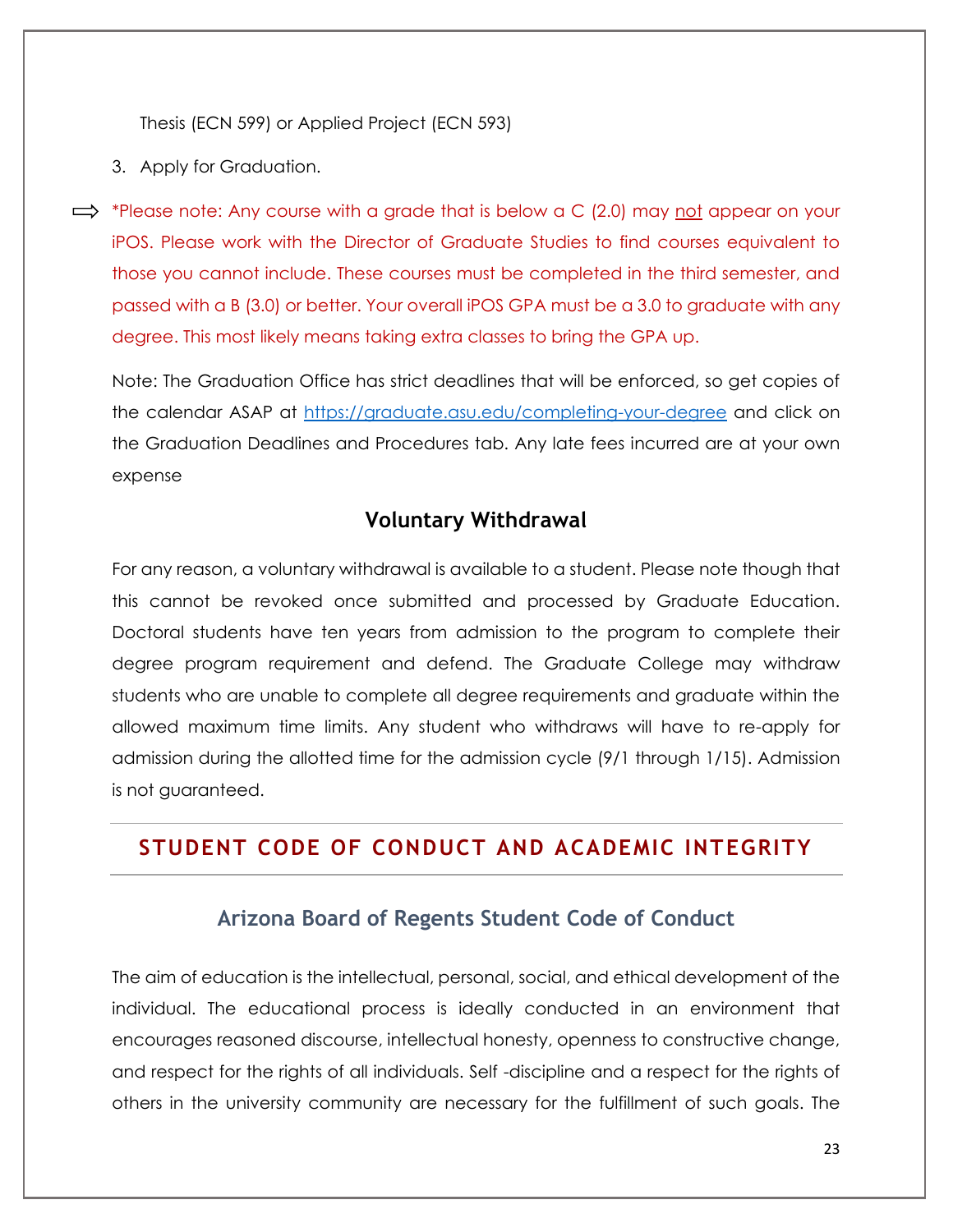Thesis (ECN 599) or Applied Project (ECN 593)

- 3. Apply for Graduation.
- $\implies$  \*Please note: Any course with a grade that is below a C (2.0) may not appear on your iPOS. Please work with the Director of Graduate Studies to find courses equivalent to those you cannot include. These courses must be completed in the third semester, and passed with a B (3.0) or better. Your overall iPOS GPA must be a 3.0 to graduate with any degree. This most likely means taking extra classes to bring the GPA up.

Note: The Graduation Office has strict deadlines that will be enforced, so get copies of the calendar ASAP at<https://graduate.asu.edu/completing-your-degree> and click on the Graduation Deadlines and Procedures tab. Any late fees incurred are at your own expense

#### **Voluntary Withdrawal**

For any reason, a voluntary withdrawal is available to a student. Please note though that this cannot be revoked once submitted and processed by Graduate Education. Doctoral students have ten years from admission to the program to complete their degree program requirement and defend. The Graduate College may withdraw students who are unable to complete all degree requirements and graduate within the allowed maximum time limits. Any student who withdraws will have to re-apply for admission during the allotted time for the admission cycle (9/1 through 1/15). Admission is not guaranteed.

## **STUDENT CODE OF CONDUCT AND ACADEMIC INTEGRITY**

#### **Arizona Board of Regents Student Code of Conduct**

The aim of education is the intellectual, personal, social, and ethical development of the individual. The educational process is ideally conducted in an environment that encourages reasoned discourse, intellectual honesty, openness to constructive change, and respect for the rights of all individuals. Self -discipline and a respect for the rights of others in the university community are necessary for the fulfillment of such goals. The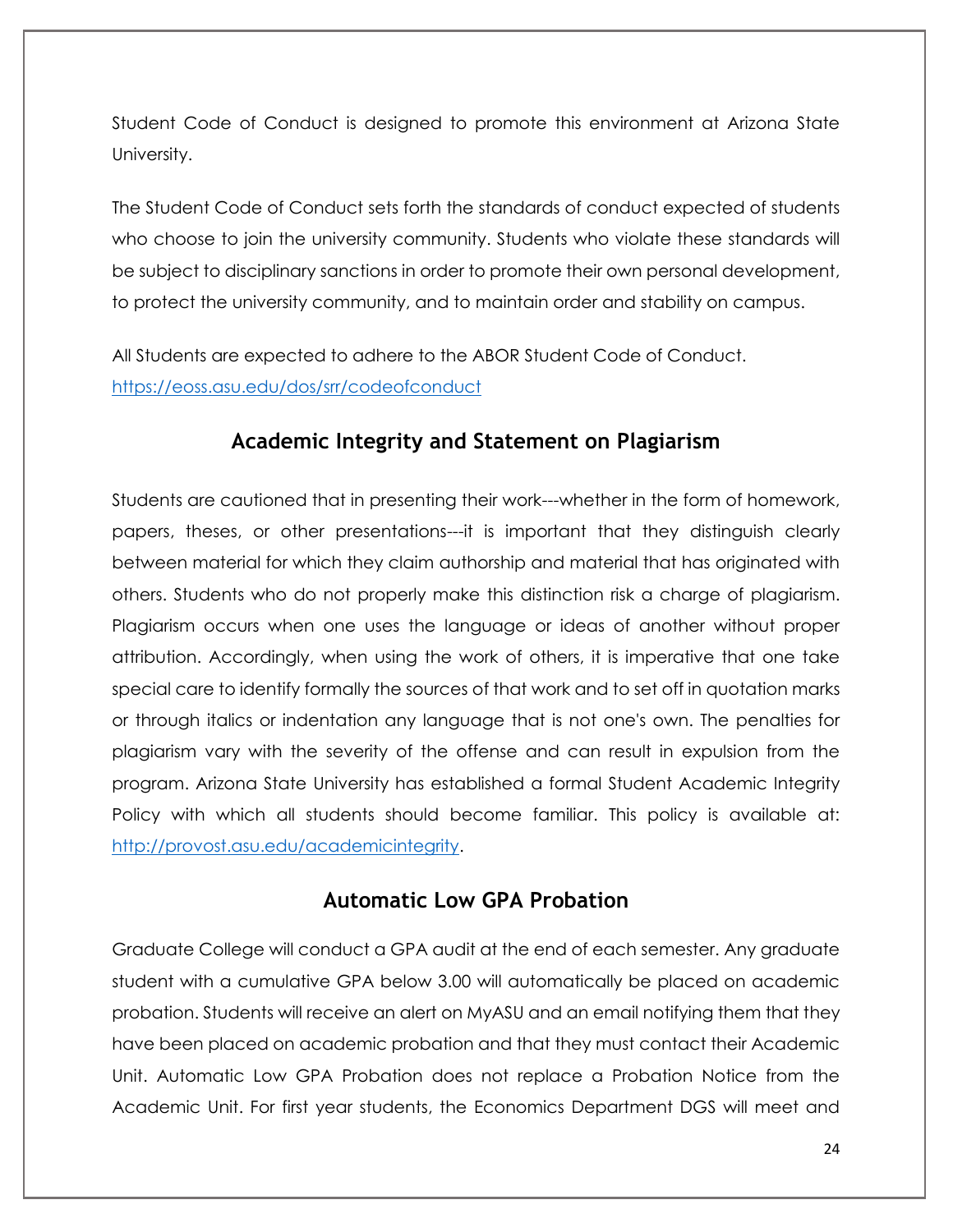Student Code of Conduct is designed to promote this environment at Arizona State University.

The Student Code of Conduct sets forth the standards of conduct expected of students who choose to join the university community. Students who violate these standards will be subject to disciplinary sanctions in order to promote their own personal development, to protect the university community, and to maintain order and stability on campus.

All Students are expected to adhere to the ABOR Student Code of Conduct. <https://eoss.asu.edu/dos/srr/codeofconduct>

### **Academic Integrity and Statement on Plagiarism**

Students are cautioned that in presenting their work---whether in the form of homework, papers, theses, or other presentations---it is important that they distinguish clearly between material for which they claim authorship and material that has originated with others. Students who do not properly make this distinction risk a charge of plagiarism. Plagiarism occurs when one uses the language or ideas of another without proper attribution. Accordingly, when using the work of others, it is imperative that one take special care to identify formally the sources of that work and to set off in quotation marks or through italics or indentation any language that is not one's own. The penalties for plagiarism vary with the severity of the offense and can result in expulsion from the program. Arizona State University has established a formal Student Academic Integrity Policy with which all students should become familiar. This policy is available at: [http://provost.asu.edu/academicintegrity.](http://provost.asu.edu/academicintegrity)

## **Automatic Low GPA Probation**

Graduate College will conduct a GPA audit at the end of each semester. Any graduate student with a cumulative GPA below 3.00 will automatically be placed on academic probation. Students will receive an alert on MyASU and an email notifying them that they have been placed on academic probation and that they must contact their Academic Unit. Automatic Low GPA Probation does not replace a Probation Notice from the Academic Unit. For first year students, the Economics Department DGS will meet and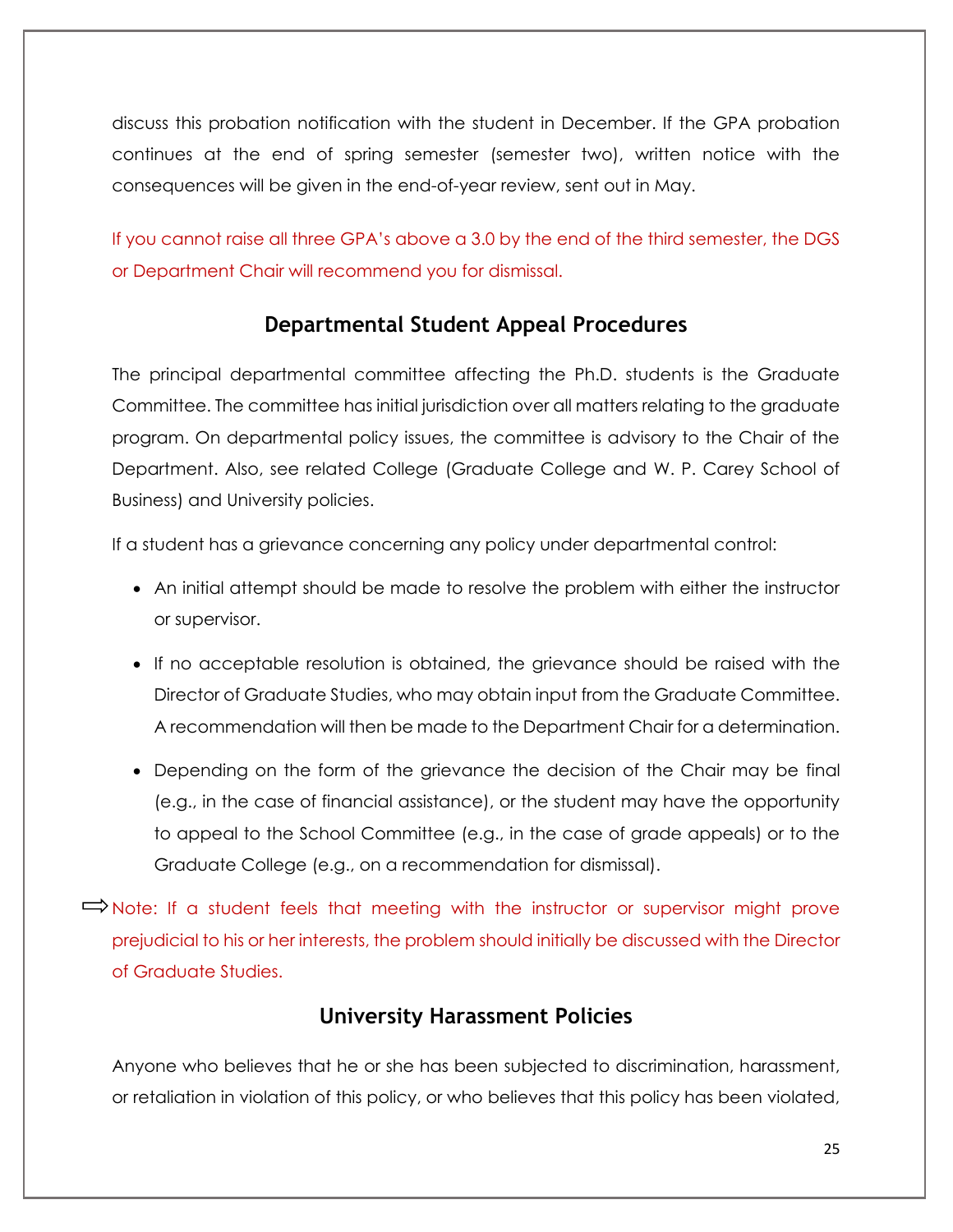discuss this probation notification with the student in December. If the GPA probation continues at the end of spring semester (semester two), written notice with the consequences will be given in the end-of-year review, sent out in May.

If you cannot raise all three GPA's above a 3.0 by the end of the third semester, the DGS or Department Chair will recommend you for dismissal.

## **Departmental Student Appeal Procedures**

The principal departmental committee affecting the Ph.D. students is the Graduate Committee. The committee has initial jurisdiction over all matters relating to the graduate program. On departmental policy issues, the committee is advisory to the Chair of the Department. Also, see related College (Graduate College and W. P. Carey School of Business) and University policies.

If a student has a grievance concerning any policy under departmental control:

- An initial attempt should be made to resolve the problem with either the instructor or supervisor.
- If no acceptable resolution is obtained, the grievance should be raised with the Director of Graduate Studies, who may obtain input from the Graduate Committee. A recommendation will then be made to the Department Chair for a determination.
- Depending on the form of the grievance the decision of the Chair may be final (e.g., in the case of financial assistance), or the student may have the opportunity to appeal to the School Committee (e.g., in the case of grade appeals) or to the Graduate College (e.g., on a recommendation for dismissal).

 $\Rightarrow$  Note: If a student feels that meeting with the instructor or supervisor might prove prejudicial to his or her interests, the problem should initially be discussed with the Director of Graduate Studies.

## **University Harassment Policies**

Anyone who believes that he or she has been subjected to discrimination, harassment, or retaliation in violation of this policy, or who believes that this policy has been violated,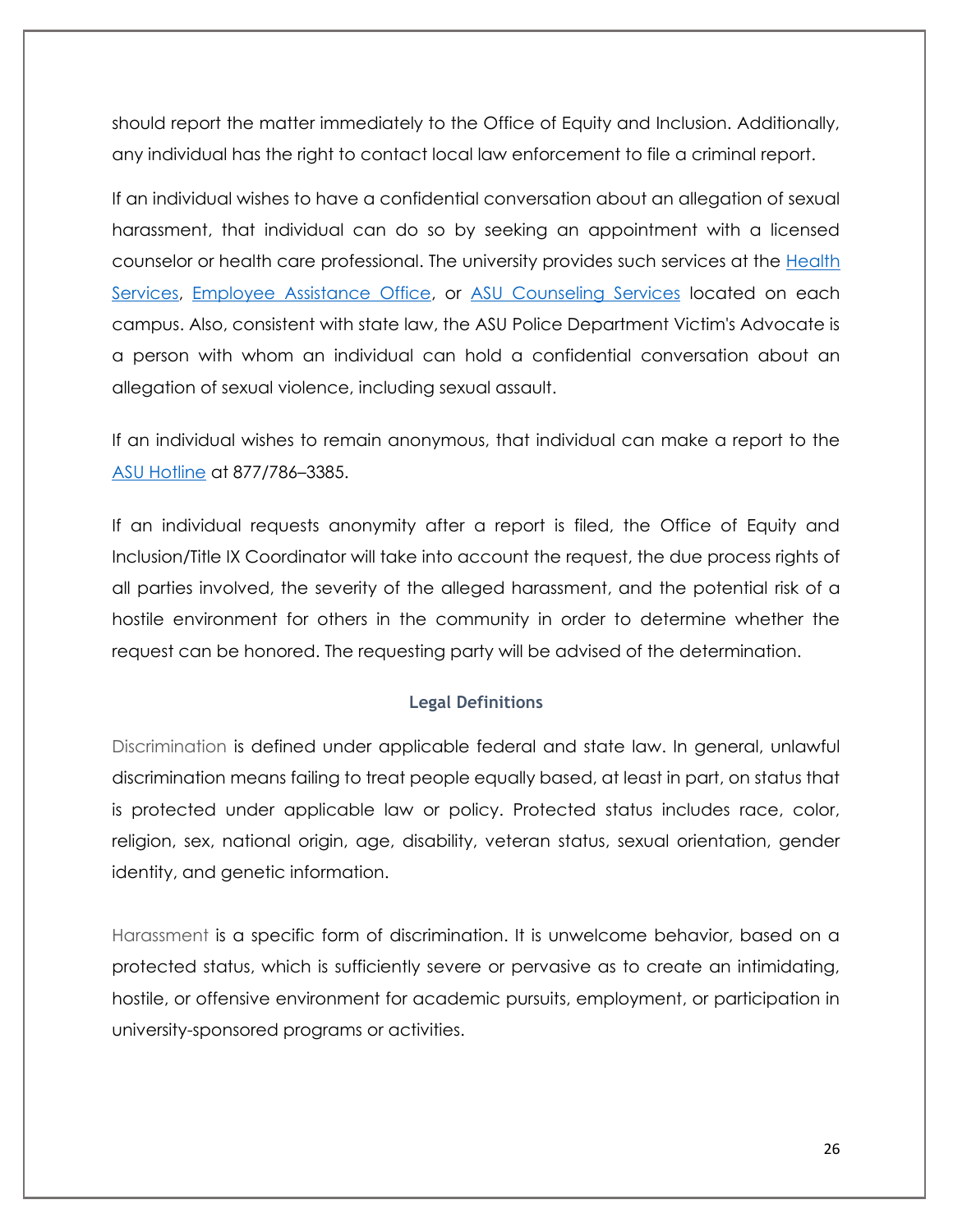should report the matter immediately to the Office of Equity and Inclusion. Additionally, any individual has the right to contact local law enforcement to file a criminal report.

If an individual wishes to have a confidential conversation about an allegation of sexual harassment, that individual can do so by seeking an appointment with a licensed counselor or health care professional. The university provides such services at the [Health](https://www.asu.edu/aad/manuals/acd/healthservices.html)  [Services,](https://www.asu.edu/aad/manuals/acd/healthservices.html) [Employee Assistance Office,](https://www.asu.edu/aad/manuals/acd/emp-assist.html) or [ASU Counseling Services](https://www.asu.edu/aad/manuals/acd/counseling-srvs.html) located on each campus. Also, consistent with state law, the ASU Police Department Victim's Advocate is a person with whom an individual can hold a confidential conversation about an allegation of sexual violence, including sexual assault.

If an individual wishes to remain anonymous, that individual can make a report to the [ASU Hotline](https://www.asu.edu/aad/manuals/acd/asu-hotline.html) at 877/786–3385.

If an individual requests anonymity after a report is filed, the Office of Equity and Inclusion/Title IX Coordinator will take into account the request, the due process rights of all parties involved, the severity of the alleged harassment, and the potential risk of a hostile environment for others in the community in order to determine whether the request can be honored. The requesting party will be advised of the determination.

#### **Legal Definitions**

Discrimination is defined under applicable federal and state law. In general, unlawful discrimination means failing to treat people equally based, at least in part, on status that is protected under applicable law or policy. Protected status includes race, color, religion, sex, national origin, age, disability, veteran status, sexual orientation, gender identity, and genetic information.

Harassment is a specific form of discrimination. It is unwelcome behavior, based on a protected status, which is sufficiently severe or pervasive as to create an intimidating, hostile, or offensive environment for academic pursuits, employment, or participation in university-sponsored programs or activities.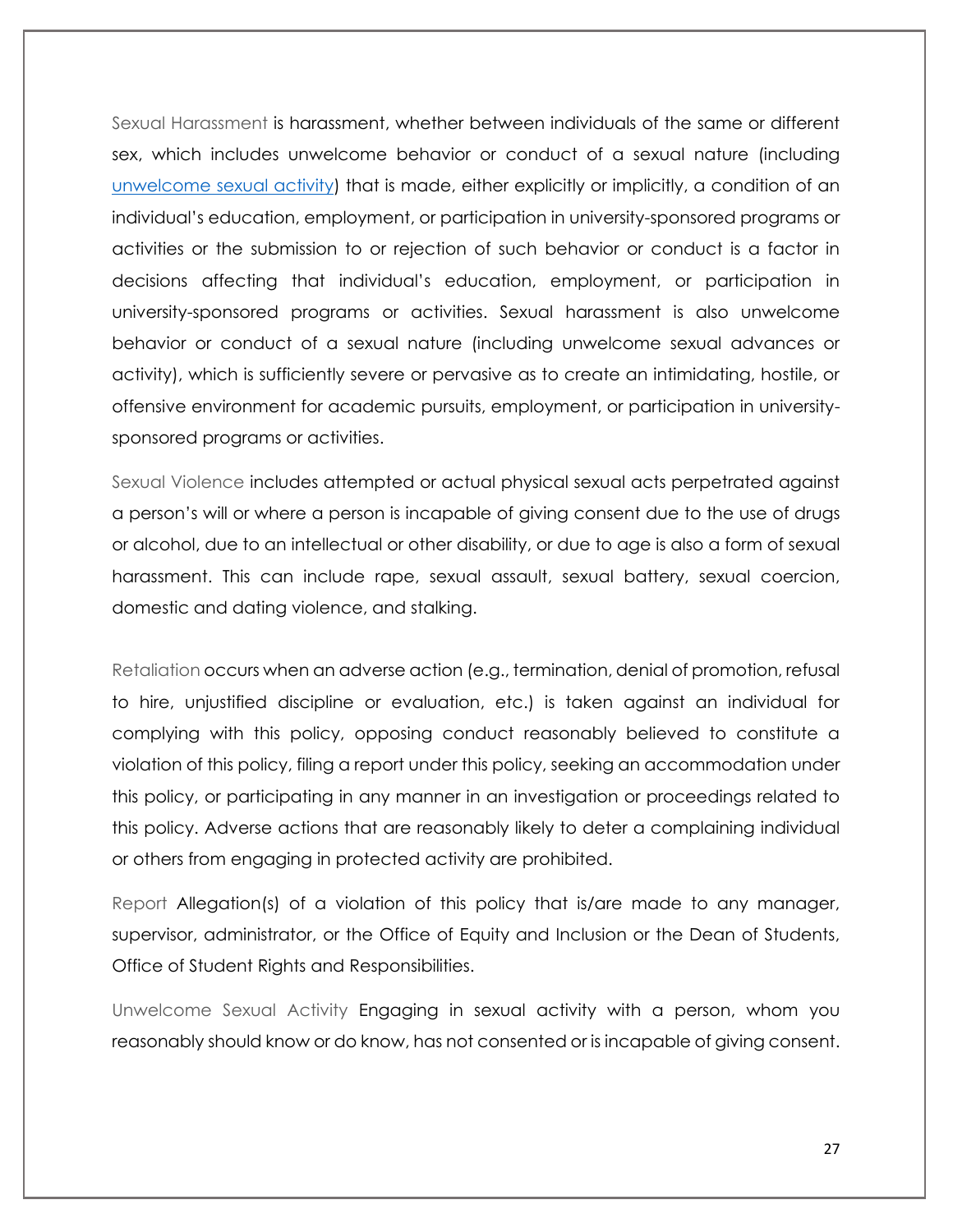Sexual Harassment is harassment, whether between individuals of the same or different sex, which includes unwelcome behavior or conduct of a sexual nature (including [unwelcome sexual activity\)](https://www.asu.edu/aad/manuals/acd/acd401.html#unwlcmsexactivity) that is made, either explicitly or implicitly, a condition of an individual's education, employment, or participation in university-sponsored programs or activities or the submission to or rejection of such behavior or conduct is a factor in decisions affecting that individual's education, employment, or participation in university-sponsored programs or activities. Sexual harassment is also unwelcome behavior or conduct of a sexual nature (including unwelcome sexual advances or activity), which is sufficiently severe or pervasive as to create an intimidating, hostile, or offensive environment for academic pursuits, employment, or participation in universitysponsored programs or activities.

Sexual Violence includes attempted or actual physical sexual acts perpetrated against a person's will or where a person is incapable of giving consent due to the use of drugs or alcohol, due to an intellectual or other disability, or due to age is also a form of sexual harassment. This can include rape, sexual assault, sexual battery, sexual coercion, domestic and dating violence, and stalking.

Retaliation occurs when an adverse action (e.g., termination, denial of promotion, refusal to hire, unjustified discipline or evaluation, etc.) is taken against an individual for complying with this policy, opposing conduct reasonably believed to constitute a violation of this policy, filing a report under this policy, seeking an accommodation under this policy, or participating in any manner in an investigation or proceedings related to this policy. Adverse actions that are reasonably likely to deter a complaining individual or others from engaging in protected activity are prohibited.

Report Allegation(s) of a violation of this policy that is/are made to any manager, supervisor, administrator, or the Office of Equity and Inclusion or the Dean of Students, Office of Student Rights and Responsibilities.

Unwelcome Sexual Activity Engaging in sexual activity with a person, whom you reasonably should know or do know, has not consented or is incapable of giving consent.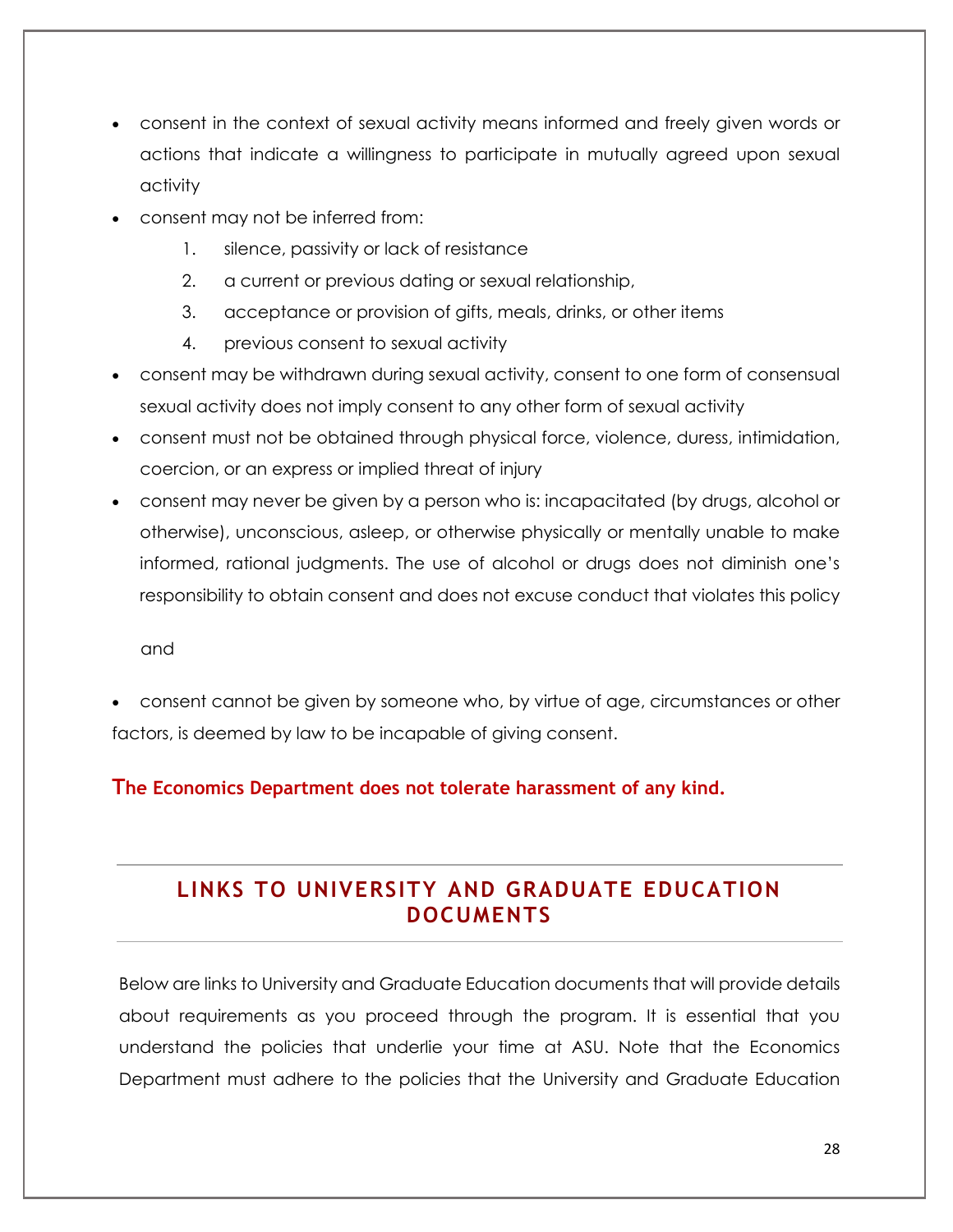- consent in the context of sexual activity means informed and freely given words or actions that indicate a willingness to participate in mutually agreed upon sexual activity
- consent may not be inferred from:
	- 1. silence, passivity or lack of resistance
	- 2. a current or previous dating or sexual relationship,
	- 3. acceptance or provision of gifts, meals, drinks, or other items
	- 4. previous consent to sexual activity
- consent may be withdrawn during sexual activity, consent to one form of consensual sexual activity does not imply consent to any other form of sexual activity
- consent must not be obtained through physical force, violence, duress, intimidation, coercion, or an express or implied threat of injury
- consent may never be given by a person who is: incapacitated (by drugs, alcohol or otherwise), unconscious, asleep, or otherwise physically or mentally unable to make informed, rational judgments. The use of alcohol or drugs does not diminish one's responsibility to obtain consent and does not excuse conduct that violates this policy

and

 consent cannot be given by someone who, by virtue of age, circumstances or other factors, is deemed by law to be incapable of giving consent.

#### **The Economics Department does not tolerate harassment of any kind.**

## **LINKS TO UNIVERSITY AND GRADUATE EDUCATION DOCUMENTS**

Below are links to University and Graduate Education documents that will provide details about requirements as you proceed through the program. It is essential that you understand the policies that underlie your time at ASU. Note that the Economics Department must adhere to the policies that the University and Graduate Education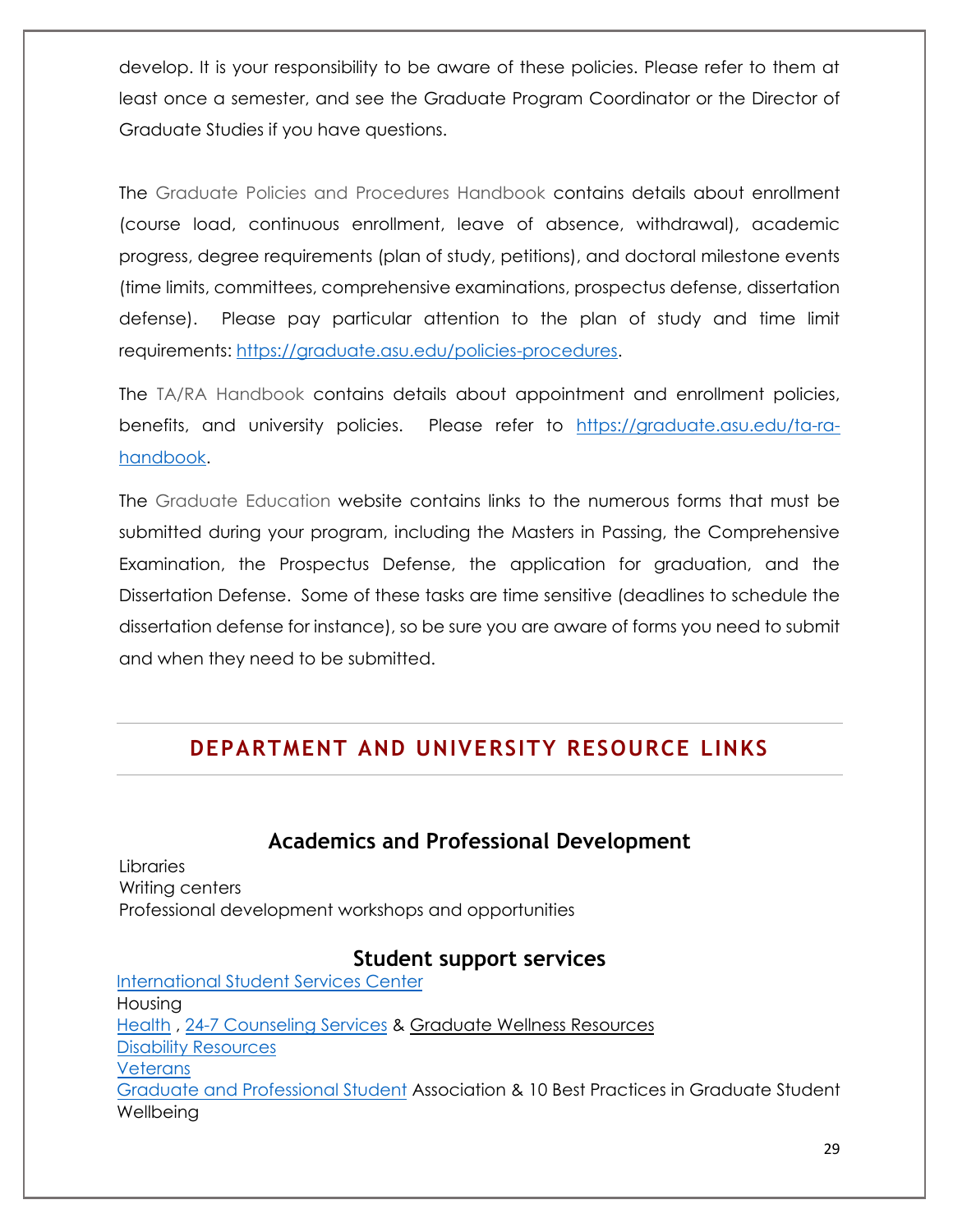develop. It is your responsibility to be aware of these policies. Please refer to them at least once a semester, and see the Graduate Program Coordinator or the Director of Graduate Studies if you have questions.

The Graduate Policies and Procedures Handbook contains details about enrollment (course load, continuous enrollment, leave of absence, withdrawal), academic progress, degree requirements (plan of study, petitions), and doctoral milestone events (time limits, committees, comprehensive examinations, prospectus defense, dissertation defense). Please pay particular attention to the plan of study and time limit requirements: [https://graduate.asu.edu/policies-procedures.](https://graduate.asu.edu/policies-procedures)

The TA/RA Handbook contains details about appointment and enrollment policies, benefits, and university policies. Please refer to [https://graduate.asu.edu/ta-ra](https://graduate.asu.edu/ta-ra-handbook)[handbook.](https://graduate.asu.edu/ta-ra-handbook)

The Graduate Education website contains links to the numerous forms that must be submitted during your program, including the Masters in Passing, the Comprehensive Examination, the Prospectus Defense, the application for graduation, and the Dissertation Defense. Some of these tasks are time sensitive (deadlines to schedule the dissertation defense for instance), so be sure you are aware of forms you need to submit and when they need to be submitted.

## **DEPARTMENT AND UNIVERSITY RESOURCE LINKS**

## **Academics and Professional Development**

Libraries Writing centers Professional development workshops and opportunities

#### **Student support services**

[International Student Services Center](https://issc.asu.edu/students/welcome) Housing [Health](https://eoss.asu.edu/health) , [24-7 Counseling Services](https://eoss.asu.edu/counseling) & [Graduate Wellness Resources](https://graduate.asu.edu/sites/default/files/wellness_resources.pdf) [Disability Resources](https://eoss.asu.edu/drc)  **Veterans** [Graduate and Professional Student](https://gpsa.asu.edu/) Association & [10 Best Practices in Graduate Student](https://graduate.asu.edu/sites/default/files/student_well_being_best_practice.pdf)  **Wellbeing**